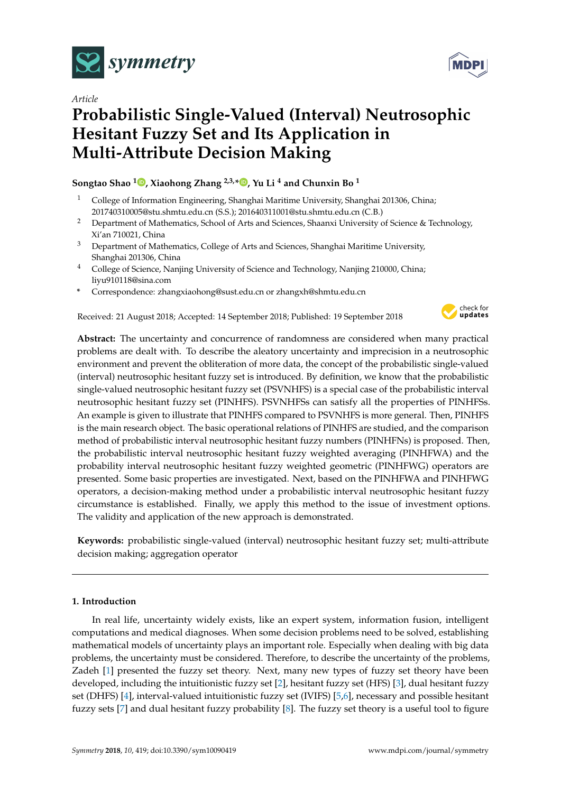

*Article*

# **Probabilistic Single-Valued (Interval) Neutrosophic Hesitant Fuzzy Set and Its Application in Multi-Attribute Decision Making**

**Songtao Shao <sup>1</sup> [,](https://orcid.org/0000-0002-6981-4198) Xiaohong Zhang 2,3,[\\*](https://orcid.org/0000-0003-2320-0884) , Yu Li <sup>4</sup> and Chunxin Bo <sup>1</sup>**

- <sup>1</sup> College of Information Engineering, Shanghai Maritime University, Shanghai 201306, China; 201740310005@stu.shmtu.edu.cn (S.S.); 201640311001@stu.shmtu.edu.cn (C.B.)
- <sup>2</sup> Department of Mathematics, School of Arts and Sciences, Shaanxi University of Science & Technology, Xi'an 710021, China
- <sup>3</sup> Department of Mathematics, College of Arts and Sciences, Shanghai Maritime University, Shanghai 201306, China
- <sup>4</sup> College of Science, Nanjing University of Science and Technology, Nanjing 210000, China; liyu910118@sina.com
- **\*** Correspondence: zhangxiaohong@sust.edu.cn or zhangxh@shmtu.edu.cn

Received: 21 August 2018; Accepted: 14 September 2018; Published: 19 September 2018



**Abstract:** The uncertainty and concurrence of randomness are considered when many practical problems are dealt with. To describe the aleatory uncertainty and imprecision in a neutrosophic environment and prevent the obliteration of more data, the concept of the probabilistic single-valued (interval) neutrosophic hesitant fuzzy set is introduced. By definition, we know that the probabilistic single-valued neutrosophic hesitant fuzzy set (PSVNHFS) is a special case of the probabilistic interval neutrosophic hesitant fuzzy set (PINHFS). PSVNHFSs can satisfy all the properties of PINHFSs. An example is given to illustrate that PINHFS compared to PSVNHFS is more general. Then, PINHFS is the main research object. The basic operational relations of PINHFS are studied, and the comparison method of probabilistic interval neutrosophic hesitant fuzzy numbers (PINHFNs) is proposed. Then, the probabilistic interval neutrosophic hesitant fuzzy weighted averaging (PINHFWA) and the probability interval neutrosophic hesitant fuzzy weighted geometric (PINHFWG) operators are presented. Some basic properties are investigated. Next, based on the PINHFWA and PINHFWG operators, a decision-making method under a probabilistic interval neutrosophic hesitant fuzzy circumstance is established. Finally, we apply this method to the issue of investment options. The validity and application of the new approach is demonstrated.

**Keywords:** probabilistic single-valued (interval) neutrosophic hesitant fuzzy set; multi-attribute decision making; aggregation operator

## **1. Introduction**

In real life, uncertainty widely exists, like an expert system, information fusion, intelligent computations and medical diagnoses. When some decision problems need to be solved, establishing mathematical models of uncertainty plays an important role. Especially when dealing with big data problems, the uncertainty must be considered. Therefore, to describe the uncertainty of the problems, Zadeh [\[1\]](#page-18-0) presented the fuzzy set theory. Next, many new types of fuzzy set theory have been developed, including the intuitionistic fuzzy set [\[2\]](#page-18-1), hesitant fuzzy set (HFS) [\[3\]](#page-18-2), dual hesitant fuzzy set (DHFS) [\[4\]](#page-18-3), interval-valued intuitionistic fuzzy set (IVIFS) [\[5,](#page-18-4)[6\]](#page-18-5), necessary and possible hesitant fuzzy sets [\[7\]](#page-18-6) and dual hesitant fuzzy probability [\[8\]](#page-18-7). The fuzzy set theory is a useful tool to figure

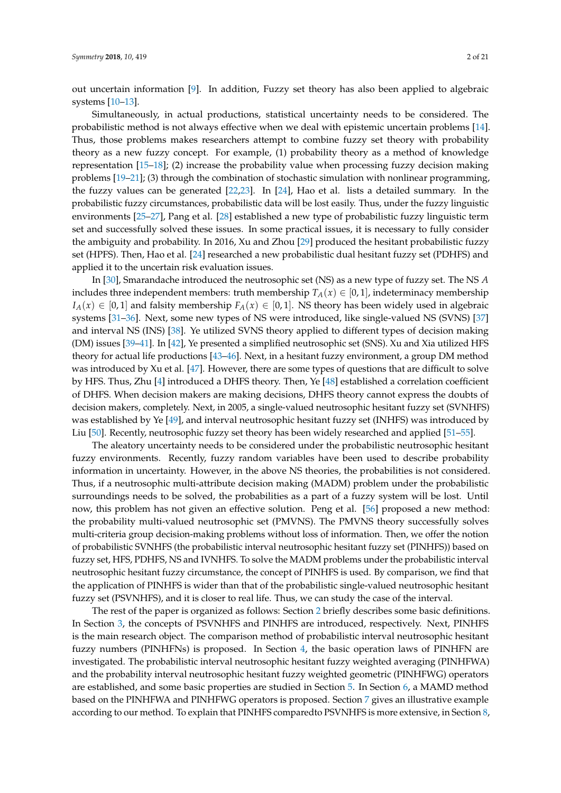out uncertain information [\[9\]](#page-18-8). In addition, Fuzzy set theory has also been applied to algebraic systems [\[10](#page-18-9)[–13\]](#page-19-0).

Simultaneously, in actual productions, statistical uncertainty needs to be considered. The probabilistic method is not always effective when we deal with epistemic uncertain problems [\[14\]](#page-19-1). Thus, those problems makes researchers attempt to combine fuzzy set theory with probability theory as a new fuzzy concept. For example, (1) probability theory as a method of knowledge representation [\[15–](#page-19-2)[18\]](#page-19-3); (2) increase the probability value when processing fuzzy decision making problems [\[19](#page-19-4)[–21\]](#page-19-5); (3) through the combination of stochastic simulation with nonlinear programming, the fuzzy values can be generated [\[22,](#page-19-6)[23\]](#page-19-7). In [\[24\]](#page-19-8), Hao et al. lists a detailed summary. In the probabilistic fuzzy circumstances, probabilistic data will be lost easily. Thus, under the fuzzy linguistic environments [\[25–](#page-19-9)[27\]](#page-19-10), Pang et al. [\[28\]](#page-19-11) established a new type of probabilistic fuzzy linguistic term set and successfully solved these issues. In some practical issues, it is necessary to fully consider the ambiguity and probability. In 2016, Xu and Zhou [\[29\]](#page-19-12) produced the hesitant probabilistic fuzzy set (HPFS). Then, Hao et al. [\[24\]](#page-19-8) researched a new probabilistic dual hesitant fuzzy set (PDHFS) and applied it to the uncertain risk evaluation issues.

In [\[30\]](#page-19-13), Smarandache introduced the neutrosophic set (NS) as a new type of fuzzy set. The NS *A* includes three independent members: truth membership  $T_A(x) \in [0,1]$ , indeterminacy membership  $I_A(x) \in [0,1]$  and falsity membership  $F_A(x) \in [0,1]$ . NS theory has been widely used in algebraic systems [\[31–](#page-19-14)[36\]](#page-19-15). Next, some new types of NS were introduced, like single-valued NS (SVNS) [\[37\]](#page-19-16) and interval NS (INS) [\[38\]](#page-19-17). Ye utilized SVNS theory applied to different types of decision making (DM) issues [\[39](#page-19-18)[–41\]](#page-20-0). In [\[42\]](#page-20-1), Ye presented a simplified neutrosophic set (SNS). Xu and Xia utilized HFS theory for actual life productions [\[43–](#page-20-2)[46\]](#page-20-3). Next, in a hesitant fuzzy environment, a group DM method was introduced by Xu et al. [\[47\]](#page-20-4). However, there are some types of questions that are difficult to solve by HFS. Thus, Zhu [\[4\]](#page-18-3) introduced a DHFS theory. Then, Ye [\[48\]](#page-20-5) established a correlation coefficient of DHFS. When decision makers are making decisions, DHFS theory cannot express the doubts of decision makers, completely. Next, in 2005, a single-valued neutrosophic hesitant fuzzy set (SVNHFS) was established by Ye [\[49\]](#page-20-6), and interval neutrosophic hesitant fuzzy set (INHFS) was introduced by Liu [\[50\]](#page-20-7). Recently, neutrosophic fuzzy set theory has been widely researched and applied [\[51](#page-20-8)[–55\]](#page-20-9).

The aleatory uncertainty needs to be considered under the probabilistic neutrosophic hesitant fuzzy environments. Recently, fuzzy random variables have been used to describe probability information in uncertainty. However, in the above NS theories, the probabilities is not considered. Thus, if a neutrosophic multi-attribute decision making (MADM) problem under the probabilistic surroundings needs to be solved, the probabilities as a part of a fuzzy system will be lost. Until now, this problem has not given an effective solution. Peng et al. [\[56\]](#page-20-10) proposed a new method: the probability multi-valued neutrosophic set (PMVNS). The PMVNS theory successfully solves multi-criteria group decision-making problems without loss of information. Then, we offer the notion of probabilistic SVNHFS (the probabilistic interval neutrosophic hesitant fuzzy set (PINHFS)) based on fuzzy set, HFS, PDHFS, NS and IVNHFS. To solve the MADM problems under the probabilistic interval neutrosophic hesitant fuzzy circumstance, the concept of PINHFS is used. By comparison, we find that the application of PINHFS is wider than that of the probabilistic single-valued neutrosophic hesitant fuzzy set (PSVNHFS), and it is closer to real life. Thus, we can study the case of the interval.

The rest of the paper is organized as follows: Section [2](#page-2-0) briefly describes some basic definitions. In Section [3,](#page-2-1) the concepts of PSVNHFS and PINHFS are introduced, respectively. Next, PINHFS is the main research object. The comparison method of probabilistic interval neutrosophic hesitant fuzzy numbers (PINHFNs) is proposed. In Section [4,](#page-5-0) the basic operation laws of PINHFN are investigated. The probabilistic interval neutrosophic hesitant fuzzy weighted averaging (PINHFWA) and the probability interval neutrosophic hesitant fuzzy weighted geometric (PINHFWG) operators are established, and some basic properties are studied in Section [5.](#page-9-0) In Section [6,](#page-13-0) a MAMD method based on the PINHFWA and PINHFWG operators is proposed. Section [7](#page-14-0) gives an illustrative example according to our method. To explain that PINHFS comparedto PSVNHFS is more extensive, in Section [8,](#page-16-0)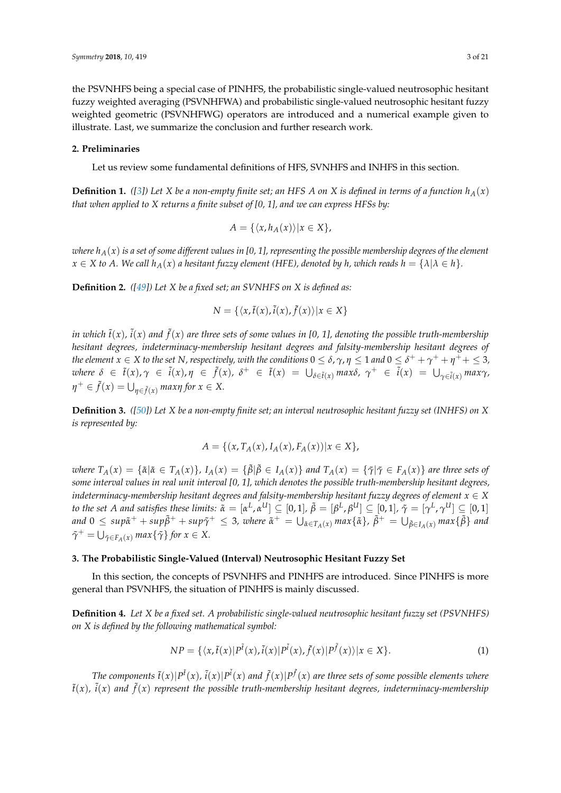the PSVNHFS being a special case of PINHFS, the probabilistic single-valued neutrosophic hesitant fuzzy weighted averaging (PSVNHFWA) and probabilistic single-valued neutrosophic hesitant fuzzy weighted geometric (PSVNHFWG) operators are introduced and a numerical example given to illustrate. Last, we summarize the conclusion and further research work.

#### <span id="page-2-0"></span>**2. Preliminaries**

Let us review some fundamental definitions of HFS, SVNHFS and INHFS in this section.

**Definition 1.** ([\[3\]](#page-18-2)) Let X be a non-empty finite set; an HFS A on X is defined in terms of a function  $h_A(x)$ *that when applied to X returns a finite subset of [0, 1], and we can express HFSs by:*

$$
A = \{ \langle x, h_A(x) \rangle | x \in X \},\
$$

*where hA*(*x*) *is a set of some different values in [0, 1], representing the possible membership degrees of the element*  $x \in X$  to A. We call  $h_A(x)$  a hesitant fuzzy element (HFE), denoted by h, which reads  $h = \{\lambda | \lambda \in h\}$ .

**Definition 2.** *([\[49\]](#page-20-6)) Let X be a fixed set; an SVNHFS on X is defined as:*

$$
N = \{ \langle x, \tilde{t}(x), \tilde{t}(x), \tilde{f}(x) \rangle | x \in X \}
$$

in which  $\tilde{t}(x)$  ,  $\tilde{i}(x)$  and  $\tilde{f}(x)$  are three sets of some values in [0, 1], denoting the possible truth-membership *hesitant degrees, indeterminacy-membership hesitant degrees and falsity-membership hesitant degrees of the element*  $x \in X$  *to the set*  $N$ *, respectively, with the conditions*  $0 \le \delta$ *,*  $\gamma$ *,*  $\eta \le 1$  *and*  $0 \le \delta^+ + \gamma^+ + \eta^+ + \le 3$ *,* where  $\delta \in \tilde{t}(x), \gamma \in \tilde{i}(x), \eta \in \tilde{f}(x), \delta^+ \in \tilde{t}(x) = \bigcup_{\delta \in \tilde{t}(x)} max \delta, \gamma^+ \in \tilde{i}(x) = \bigcup_{\gamma \in \tilde{i}(x)} max \gamma$  $\eta^+ \in \tilde{f}(x) = \bigcup_{\eta \in \tilde{f}(x)} \max \eta$  for  $x \in X$ .

**Definition 3.** *([\[50\]](#page-20-7)) Let X be a non-empty finite set; an interval neutrosophic hesitant fuzzy set (INHFS) on X is represented by:*

$$
A = \{(x, T_A(x), I_A(x), F_A(x)) | x \in X\},\
$$

where  $T_A(x) = {\{\tilde{\alpha} | \tilde{\alpha} \in T_A(x)\}}$ ,  $I_A(x) = {\{\tilde{\beta} | \tilde{\beta} \in I_A(x)\}}$  and  $T_A(x) = {\{\tilde{\gamma} | \tilde{\gamma} \in F_A(x)\}}$  are three sets of *some interval values in real unit interval [0, 1], which denotes the possible truth-membership hesitant degrees, indeterminacy-membership hesitant degrees and falsity-membership hesitant fuzzy degrees of element*  $x \in X$ to the set A and satisfies these limits:  $\tilde\alpha=[\alpha^L,\alpha^{U}]\subseteq[0,1]$ ,  $\tilde\beta=[\beta^L,\beta^{U}]\subseteq[0,1]$ ,  $\tilde\gamma=[\gamma^L,\gamma^{U}]\subseteq[0,1]$ and  $0\leq$  sup $\tilde{\alpha}^+ + s u p \tilde{\beta}^+ + s u p \tilde{\gamma}^+ \leq 3$ , where  $\tilde{\alpha}^+ = \bigcup_{\tilde{\alpha} \in T_A(x)} max\{\tilde{\alpha}\}$ ,  $\tilde{\beta}^+ = \bigcup_{\tilde{\beta} \in I_A(x)} max\{\tilde{\beta}\}$  and  $\tilde{\gamma}^+$  =  $\bigcup_{\tilde{\gamma} \in F_A(x)} \max\{\tilde{\gamma}\}\$  for  $x \in X$ .

#### <span id="page-2-1"></span>**3. The Probabilistic Single-Valued (Interval) Neutrosophic Hesitant Fuzzy Set**

In this section, the concepts of PSVNHFS and PINHFS are introduced. Since PINHFS is more general than PSVNHFS, the situation of PINHFS is mainly discussed.

**Definition 4.** *Let X be a fixed set. A probabilistic single-valued neutrosophic hesitant fuzzy set (PSVNHFS) on X is defined by the following mathematical symbol:*

$$
NP = \{ \langle x, \tilde{t}(x) | P^{\tilde{t}}(x), \tilde{t}(x) | P^{\tilde{t}}(x), \tilde{f}(x) | P^{\tilde{f}}(x) \rangle | x \in X \}.
$$
\n(1)

The components  $\tilde{t}(x)|P^{\tilde{t}}(x),\tilde{i}(x)|P^{\tilde{t}}(x)$  and  $\tilde{f}(x)|P^{\tilde{f}}(x)$  are three sets of some possible elements where  $\tilde{t}(x)$ ,  $\tilde{i}(x)$  and  $\tilde{f}(x)$  represent the possible truth-membership hesitant degrees, indeterminacy-membership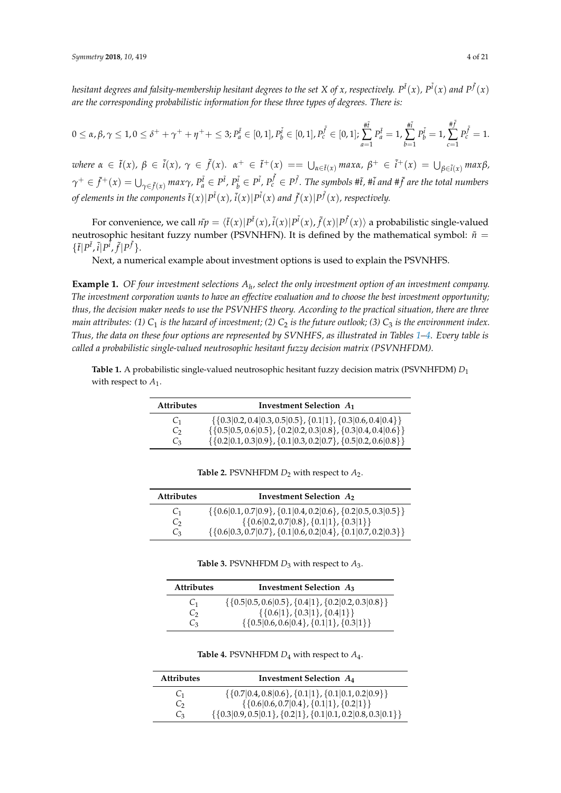hesitant degrees and falsity-membership hesitant degrees to the set X of x, respectively.  $P^{\tilde t}(x)$ ,  $P^{\tilde t}(x)$  and  $P^{\tilde f}(x)$ *are the corresponding probabilistic information for these three types of degrees. There is:*

$$
0 \leq \alpha, \beta, \gamma \leq 1, 0 \leq \delta^+ + \gamma^+ + \eta^+ + \leq 3; P_a^{\tilde{t}} \in [0,1], P_b^{\tilde{i}} \in [0,1], P_c^{\tilde{f}} \in [0,1]; \sum_{a=1}^{\#\tilde{f}} P_a^{\tilde{t}} = 1, \sum_{b=1}^{\#\tilde{f}} P_c^{\tilde{t}} = 1, \sum_{c=1}^{\#\tilde{f}} P_c^{\tilde{f}} = 1.
$$

where  $\alpha \in \tilde{t}(x)$ ,  $\beta \in \tilde{t}(x)$ ,  $\gamma \in \tilde{f}(x)$ .  $\alpha^+ \in \tilde{t}^+(x) = \bigcup_{\alpha \in \tilde{t}(x)} \max \alpha$ ,  $\beta^+ \in \tilde{t}^+(x) = \bigcup_{\beta \in \tilde{t}(x)} \max \beta$ ,  $\gamma^+\in\tilde{f}^+(x)=\bigcup_{\gamma\in\tilde{f}(x)}max\gamma$ ,  $P_a^{\tilde{t}}\in P^{\tilde{t}}$ ,  $P_b^{\tilde{t}}\in P^{\tilde{t}}$ ,  $P_c^{\tilde{f}}\in P^{\tilde{f}}$ . The symbols # $\tilde{t}$ , # $\tilde{t}$  and # $\tilde{f}$  are the total numbers of elements in the components  $\tilde{t}(x)|P^{\tilde{t}}(x)$  ,  $\tilde{l}(x)|P^{\tilde{t}}(x)$  and  $\tilde{f}(x)|P^{\tilde{f}}(x)$  , respectively.

For convenience, we call  $n\tilde{p} = \langle \tilde{t}(x)|P^{\tilde{t}}(x),\tilde{t}(x)|P^{\tilde{t}}(x),\tilde{f}(x)|P^{\tilde{f}}(x)\rangle$  a probabilistic single-valued neutrosophic hesitant fuzzy number (PSVNHFN). It is defined by the mathematical symbol:  $\tilde{n}$  =  $\{\tilde{t}|P^{\tilde{t}},\tilde{i}|P^{\tilde{t}},\tilde{f}|P^{\tilde{f}}\}.$ 

Next, a numerical example about investment options is used to explain the PSVNHFS.

<span id="page-3-2"></span>**Example 1.** *OF four investment selections A<sup>h</sup> , select the only investment option of an investment company. The investment corporation wants to have an effective evaluation and to choose the best investment opportunity; thus, the decision maker needs to use the PSVNHFS theory. According to the practical situation, there are three main attributes:* (1)  $C_1$  *is the hazard of investment;* (2)  $C_2$  *is the future outlook;* (3)  $C_3$  *is the environment index. Thus, the data on these four options are represented by SVNHFS, as illustrated in Tables [1–](#page-3-0)[4.](#page-3-1) Every table is called a probabilistic single-valued neutrosophic hesitant fuzzy decision matrix (PSVNHFDM).*

<span id="page-3-0"></span>**Table 1.** A probabilistic single-valued neutrosophic hesitant fuzzy decision matrix (PSVNHFDM) *D*<sup>1</sup> with respect to  $A_1$ .

| <b>Attributes</b> | Investment Selection $A_1$                                               |  |  |
|-------------------|--------------------------------------------------------------------------|--|--|
| C <sub>1</sub>    | $\{\{0.3 0.2, 0.4 0.3, 0.5 0.5\}, \{0.1 1\}, \{0.3 0.6, 0.4 0.4\}\}\$    |  |  |
| $C_{2}$           | $\{ \{0.5 0.5, 0.6 0.5\}, \{0.2 0.2, 0.3 0.8\}, \{0.3 0.4, 0.4 0.6\} \}$ |  |  |
| $C_3$             | $\{\{0.2 0.1, 0.3 0.9\}, \{0.1 0.3, 0.2 0.7\}, \{0.5 0.2, 0.6 0.8\}\}\$  |  |  |

| <b>Table 2.</b> PSVNHFDM $D_2$ with respect to $A_2$ . |  |
|--------------------------------------------------------|--|
|--------------------------------------------------------|--|

| <b>Attributes</b> | Investment Selection $A_2$                                              |  |  |  |
|-------------------|-------------------------------------------------------------------------|--|--|--|
| C <sub>1</sub>    | $\{\{0.6 0.1, 0.7 0.9\}, \{0.1 0.4, 0.2 0.6\}, \{0.2 0.5, 0.3 0.5\}\}\$ |  |  |  |
| Ċэ                | $\{\{0.6 0.2, 0.7 0.8\}, \{0.1 1\}, \{0.3 1\}\}\$                       |  |  |  |
| C <sub>3</sub>    | $\{\{0.6 0.3, 0.7 0.7\}, \{0.1 0.6, 0.2 0.4\}, \{0.1 0.7, 0.2 0.3\}\}\$ |  |  |  |

**Table 3.** PSVNHFDM *D*<sup>3</sup> with respect to *A*3.

| <b>Attributes</b> | Investment Selection $A_3$                                   |  |  |  |
|-------------------|--------------------------------------------------------------|--|--|--|
| C <sub>1</sub>    | $\{\{0.5 0.5, 0.6 0.5\}, \{0.4 1\}, \{0.2 0.2, 0.3 0.8\}\}\$ |  |  |  |
| Ċэ                | $\{\{0.6 1\}, \{0.3 1\}, \{0.4 1\}\}\$                       |  |  |  |
| Ċз                | $\{\{0.5 0.6, 0.6 0.4\}, \{0.1 1\}, \{0.3 1\}\}\$            |  |  |  |

**Table 4.** PSVNHFDM *D*<sup>4</sup> with respect to *A*<sup>4</sup> .

<span id="page-3-1"></span>

| <b>Attributes</b> | Investment Selection $A_4$                                             |  |  |  |
|-------------------|------------------------------------------------------------------------|--|--|--|
| C <sub>1</sub>    | $\{ \{0.7 0.4, 0.8 0.6\}, \{0.1 1\}, \{0.1 0.1, 0.2 0.9\} \}$          |  |  |  |
| $\mathsf{C}_{2}$  | $\{ \{0.6 0.6, 0.7 0.4\}, \{0.1 1\}, \{0.2 1\} \}$                     |  |  |  |
| Ċз                | $\{ \{0.3 0.9, 0.5 0.1\}, \{0.2 1\}, \{0.1 0.1, 0.2 0.8, 0.3 0.1\} \}$ |  |  |  |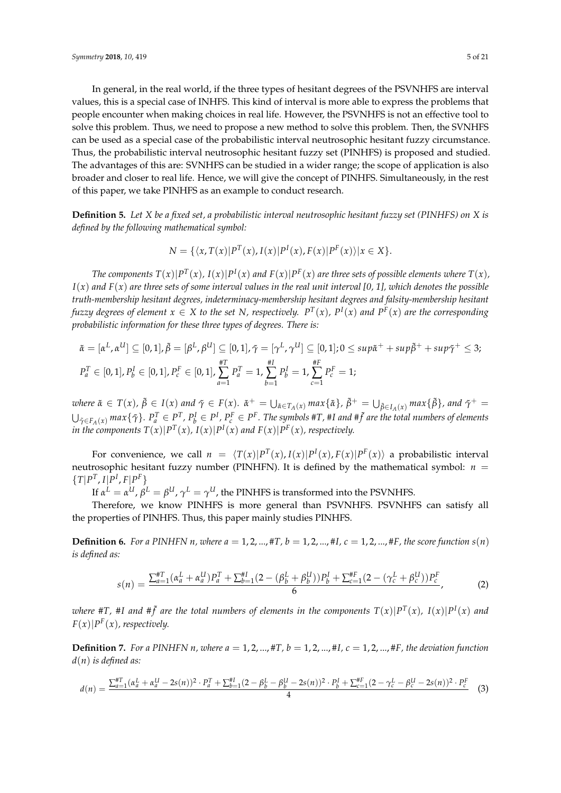In general, in the real world, if the three types of hesitant degrees of the PSVNHFS are interval values, this is a special case of INHFS. This kind of interval is more able to express the problems that people encounter when making choices in real life. However, the PSVNHFS is not an effective tool to solve this problem. Thus, we need to propose a new method to solve this problem. Then, the SVNHFS can be used as a special case of the probabilistic interval neutrosophic hesitant fuzzy circumstance. Thus, the probabilistic interval neutrosophic hesitant fuzzy set (PINHFS) is proposed and studied. The advantages of this are: SVNHFS can be studied in a wider range; the scope of application is also broader and closer to real life. Hence, we will give the concept of PINHFS. Simultaneously, in the rest of this paper, we take PINHFS as an example to conduct research.

<span id="page-4-0"></span>**Definition 5.** *Let X be a fixed set, a probabilistic interval neutrosophic hesitant fuzzy set (PINHFS) on X is defined by the following mathematical symbol:*

$$
N = \{ \langle x, T(x) | P^T(x), I(x) | P^I(x), F(x) | P^F(x) \rangle | x \in X \}.
$$

The components  $T(x)|P^T(x)$ ,  $I(x)|P^I(x)$  and  $F(x)|P^F(x)$  are three sets of possible elements where  $T(x)$ ,  $I(x)$  and  $F(x)$  are three sets of some interval values in the real unit interval [0, 1], which denotes the possible *truth-membership hesitant degrees, indeterminacy-membership hesitant degrees and falsity-membership hesitant* fuzzy degrees of element  $x \in X$  to the set N, respectively.  $P^T(x)$ ,  $P^I(x)$  and  $P^F(x)$  are the corresponding *probabilistic information for these three types of degrees. There is:*

$$
\tilde{\alpha} = [\alpha^L, \alpha^U] \subseteq [0, 1], \tilde{\beta} = [\beta^L, \beta^U] \subseteq [0, 1], \tilde{\gamma} = [\gamma^L, \gamma^U] \subseteq [0, 1]; 0 \le \sup \tilde{\alpha}^+ + \sup \tilde{\beta}^+ + \sup \tilde{\gamma}^+ \le 3;
$$
\n
$$
P_a^T \in [0, 1], P_b^I \in [0, 1], P_c^F \in [0, 1], \sum_{a=1}^{\#\Gamma} P_a^T = 1, \sum_{b=1}^{\#\Gamma} P_b^I = 1, \sum_{c=1}^{\#\Gamma} P_c^F = 1;
$$

where  $\tilde{\alpha} \in T(x)$ ,  $\tilde{\beta} \in I(x)$  and  $\tilde{\gamma} \in F(x)$ .  $\tilde{\alpha}^+ = \bigcup_{\tilde{\alpha} \in T_A(x)} max{\{\tilde{\alpha}\}}$ ,  $\tilde{\beta}^+ = \bigcup_{\tilde{\beta} \in I_A(x)} max{\{\tilde{\beta}\}}$ , and  $\tilde{\gamma}^+ =$  $\bigcup_{\tilde{\gamma}\in F_A(x)}max\{\tilde{\gamma}\}.$   $P_a^T\in P^T$ ,  $P_b^I\in P^I$ ,  $P_c^F\in P^F.$  The symbols #T, #I and # $\tilde{f}$  are the total numbers of elements *in the components*  $T(x)|P^T(x)$ *,*  $I(x)|P^I(x)$  *and*  $F(x)|P^F(x)$ *, respectively.* 

For convenience, we call  $n = \langle T(x)|P^T(x), I(x)|P^I(x), F(x)|P^F(x)\rangle$  a probabilistic interval neutrosophic hesitant fuzzy number (PINHFN). It is defined by the mathematical symbol:  $n =$  ${T|P^T, I|P^I, F|P^F}$ 

If  $\alpha^L = \alpha^U$ ,  $\beta^L = \beta^U$ ,  $\gamma^L = \gamma^U$ , the PINHFS is transformed into the PSVNHFS.

Therefore, we know PINHFS is more general than PSVNHFS. PSVNHFS can satisfy all the properties of PINHFS. Thus, this paper mainly studies PINHFS.

<span id="page-4-1"></span>**Definition 6.** For a PINHFN *n*, where  $a = 1, 2, ..., \text{\#T}$ ,  $b = 1, 2, ..., \text{\#I}$ ,  $c = 1, 2, ..., \text{\#F}$ , the score function  $s(n)$ *is defined as:*

<span id="page-4-2"></span>
$$
s(n) = \frac{\sum_{a=1}^{HT} (\alpha_a^L + \alpha_a^U) P_a^T + \sum_{b=1}^{H} (2 - (\beta_b^L + \beta_b^U)) P_b^I + \sum_{c=1}^{HF} (2 - (\gamma_c^L + \beta_c^U)) P_c^F}{6},
$$
(2)

where #T, #I and # $\tilde{f}$  are the total numbers of elements in the components  $T(x)|P^T(x)$ ,  $I(x)|P^I(x)$  and  $F(x)|P^F(x)$ , respectively.

<span id="page-4-3"></span>**Definition 7.** For a PINHFN *n*, where  $a = 1, 2, ..., \text{\#T}$ ,  $b = 1, 2, ..., \text{\#I}$ ,  $c = 1, 2, ..., \text{\#F}$ , the deviation function *d*(*n*) *is defined as:*

$$
d(n) = \frac{\sum_{a=1}^{#T} (\alpha_a^L + \alpha_a^U - 2s(n))^2 \cdot P_a^T + \sum_{b=1}^{#I} (2 - \beta_b^L - \beta_b^U - 2s(n))^2 \cdot P_b^I + \sum_{c=1}^{#F} (2 - \gamma_c^L - \beta_c^U - 2s(n))^2 \cdot P_c^F}{4}
$$
(3)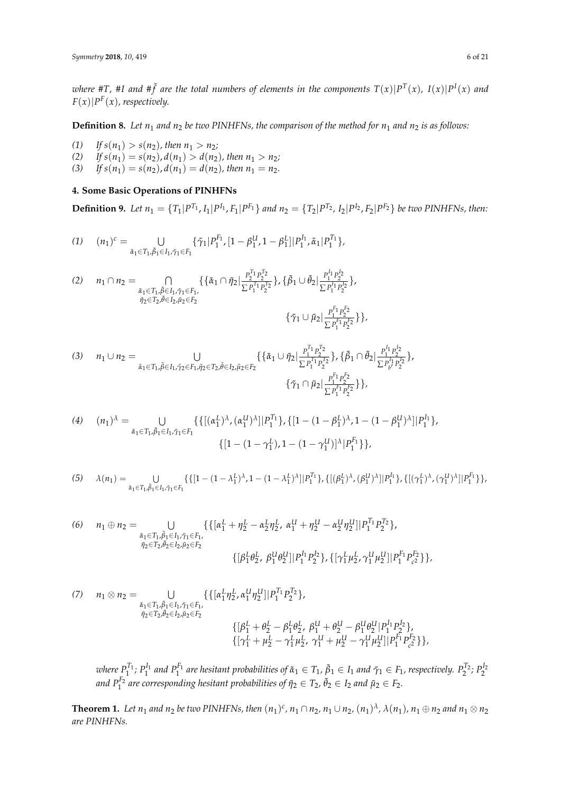where #T, #I and # $\tilde{f}$  are the total numbers of elements in the components  $T(x)|P^T(x)$ ,  $I(x)|P^I(x)$  and  $F(x)|P^F(x)$ , respectively.

<span id="page-5-2"></span>**Definition 8.** Let  $n_1$  and  $n_2$  be two PINHFNs, the comparison of the method for  $n_1$  and  $n_2$  is as follows:

(1) If  $s(n_1) > s(n_2)$ , then  $n_1 > n_2$ ;<br>(2) If  $s(n_1) = s(n_2)$ ,  $d(n_1) > d(n_2)$ 

- (2) *If*  $s(n_1) = s(n_2)$ ,  $d(n_1) > d(n_2)$ , then  $n_1 > n_2$ ;
- (3) *If*  $s(n_1) = s(n_2)$ ,  $d(n_1) = d(n_2)$ , then  $n_1 = n_2$ .

## <span id="page-5-0"></span>**4. Some Basic Operations of PINHFNs**

<span id="page-5-1"></span>**Definition 9.** Let  $n_1 = \{T_1|P^{T_1}, I_1|P^{I_1}, F_1|P^{F_1}\}\$  and  $n_2 = \{T_2|P^{T_2}, I_2|P^{I_2}, F_2|P^{F_2}\}\$  be two PINHFNs, then:

$$
(1) \hspace{0.5cm} (n_1)^c = \bigcup_{\tilde\alpha_1\in T_1,\tilde\beta_1\in I_1,\tilde\gamma_1\in F_1} \{\tilde\gamma_1|P_1^{F_1},[1-\beta_1^U,1-\beta_1^L]|P_1^{I_1},\tilde\alpha_1|P_1^{T_1}\},
$$

$$
(2) \quad n_{1} \cap n_{2} = \bigcap_{\substack{\tilde{\alpha}_{1} \in T_{1}, \tilde{\beta} \in I_{1}, \tilde{\gamma}_{1} \in F_{1}, \\ \tilde{\eta}_{2} \in T_{2}, \tilde{\theta} \in I_{2}, \tilde{\mu}_{2} \in F_{2}}} \{ \{\tilde{\alpha}_{1} \cap \tilde{\eta}_{2} | \frac{P_{2}^{T_{1}} P_{2}^{T_{2}}}{\sum P_{1}^{T_{1}} P_{2}^{T_{2}}} \}, \{\tilde{\beta}_{1} \cup \tilde{\theta}_{2} | \frac{P_{1}^{I_{1}} P_{2}^{I_{2}}}{\sum P_{1}^{I_{1}} P_{2}^{I_{2}}} \},
$$

$$
\{ \tilde{\gamma}_{1} \cup \tilde{\mu}_{2} | \frac{P_{1}^{F_{1}} P_{2}^{F_{2}}}{\sum P_{1}^{F_{1}} P_{2}^{F_{2}}} \} \},
$$

$$
(3) \quad n_{1} \cup n_{2} = \bigcup_{\tilde{\alpha}_{1} \in T_{1}, \tilde{\beta} \in I_{1}, \tilde{\gamma}_{2} \in F_{1}, \tilde{\eta}_{2} \in T_{2}, \tilde{\beta} \in I_{2}, \tilde{\mu}_{2} \in F_{2}} \{ \{ \tilde{\alpha}_{1} \cup \tilde{\eta}_{2} | \frac{P_{1}^{T_{1}} P_{2}^{T_{2}}}{\sum P_{1}^{T_{1}} P_{2}^{T_{2}}} \}, \{\tilde{\beta}_{1} \cap \tilde{\theta}_{2} | \frac{P_{1}^{T_{1}} P_{2}^{T_{2}}}{\sum P_{1}^{T_{1}} P_{2}^{T_{2}}} \},\
$$

$$
\{ \tilde{\gamma}_{1} \cap \tilde{\mu}_{2} | \frac{P_{1}^{F_{1}} P_{2}^{F_{2}}}{\sum P_{1}^{F_{1}} P_{2}^{F_{2}}} \} \},
$$

(4) 
$$
(n_1)^{\lambda} = \bigcup_{\tilde{\alpha}_1 \in T_1, \tilde{\beta}_1 \in I_1, \tilde{\gamma}_1 \in F_1} \{ \{ [(\alpha_1^L)^{\lambda}, (\alpha_1^U)^{\lambda}] | P_1^{T_1} \}, \{ [1 - (1 - \beta_1^L)^{\lambda}, 1 - (1 - \beta_1^U)^{\lambda}] | P_1^{I_1} \}, \{ [1 - (1 - \gamma_1^L), 1 - (1 - \gamma_1^U)]^{\lambda} | P_1^{F_1} \} \},
$$

$$
(5) \qquad \lambda(n_1) = \bigcup_{\tilde{\alpha}_1 \in T_1, \tilde{\beta}_1 \in I_1, \tilde{\gamma}_1 \in F_1} \{ \{ [1 - (1 - \lambda_1^L)^\lambda, 1 - (1 - \lambda_1^L)^\lambda] | P_1^{T_1} \}, \{ [(\beta_1^L)^\lambda, (\beta_1^U)^\lambda] | P_1^{I_1} \}, \{ [(\gamma_1^L)^\lambda, (\gamma_1^U)^\lambda] | P_1^{F_1} \} \},
$$

(6) 
$$
n_1 \oplus n_2 = \bigcup_{\substack{\tilde{\alpha}_1 \in T_1, \tilde{\beta}_1 \in I_1, \tilde{\gamma}_1 \in F_1, \\ \tilde{\eta}_2 \in T_2, \tilde{\theta}_2 \in I_2, \tilde{\mu}_2 \in F_2}} \{ \{ [a_1^L + \eta_2^L - \alpha_2^L \eta_2^L, \alpha_1^U + \eta_2^U - \alpha_2^U \eta_2^U] | P_1^{T_1} P_2^{T_2} \}, \{ [\rho_1^L \theta_2^L, \rho_1^U \theta_2^U] | P_1^{T_1} P_2^{T_2} \}, \{ [\gamma_1^L \mu_2^L, \gamma_1^U \mu_2^U] | P_1^{F_1} P_{c_2}^{F_2} \} \},
$$

(7) 
$$
n_1 \otimes n_2 = \bigcup_{\substack{\tilde{\alpha}_1 \in T_1, \tilde{\beta}_1 \in I_1, \tilde{\gamma}_1 \in F_1, \\ \tilde{\eta}_2 \in T_2, \tilde{\theta}_2 \in I_2, \tilde{\mu}_2 \in F_2}} \{ \{ [\alpha_1^L \eta_2^L, \alpha_1^U \eta_2^U] | P_1^{T_1} P_2^{T_2} \}, \{\beta_1^L + \theta_2^L - \beta_1^L \theta_2^L, \beta_1^U + \theta_2^U - \beta_1^U \theta_2^U | P_1^{I_1} P_2^{I_2} \}, \{\{\gamma_1^L + \mu_2^L - \gamma_1^L \mu_2^L, \gamma_1^U + \mu_2^U - \gamma_1^U \mu_2^U\} | P_1^{F_1} P_{c^2}^{F_2} \} \},
$$

where  $P_1^{T_1}$ ;  $P_1^{I_1}$  and  $P_1^{F_1}$  are hesitant probabilities of  $\tilde\alpha_1\in T_1$ ,  $\tilde\beta_1\in I_1$  and  $\tilde\gamma_1\in F_1$ , respectively.  $P_2^{T_2}$ ;  $P_2^{I_2}$  $a$ nd  $P_1^{F_2}$  are corresponding hesitant probabilities of  $\tilde{\eta}_2 \in T_2$ ,  $\tilde{\theta}_2 \in I_2$  and  $\tilde{\mu}_2 \in F_2$ .

**Theorem 1.** Let  $n_1$  and  $n_2$  be two PINHFNs, then  $(n_1)^c$ ,  $n_1 \cap n_2$ ,  $n_1 \cup n_2$ ,  $(n_1)^\lambda$ ,  $\lambda(n_1)$ ,  $n_1 \oplus n_2$  and  $n_1 \otimes n_2$ *are PINHFNs.*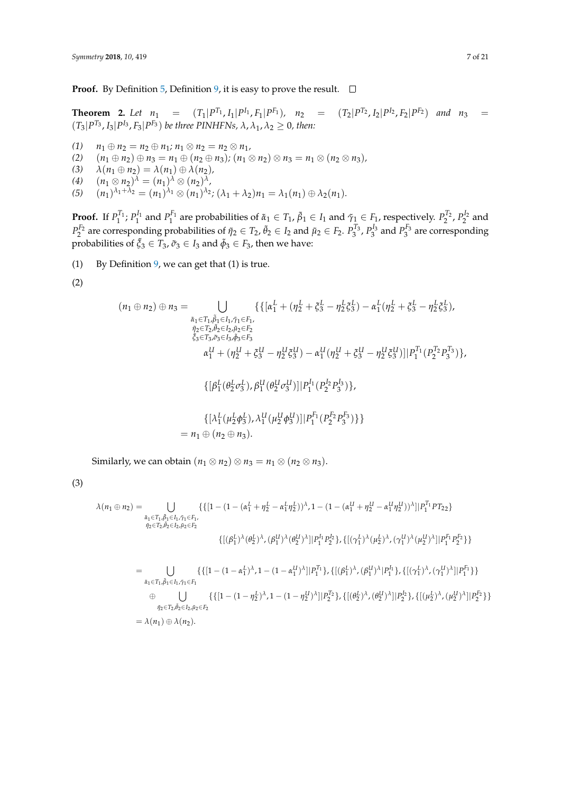**Proof.** By Definition [5,](#page-4-0) Definition [9,](#page-5-1) it is easy to prove the result.  $\Box$ 

**Theorem 2.** Let  $n_1 = (T_1|P^{T_1}, I_1|P^{I_1}, F_1|P^{F_1}), n_2 = (T_2|P^{T_2}, I_2|P^{I_2}, F_2|P^{F_2})$  and  $n_3 =$  $(T_3|P^{T_3}, I_3|P^{I_3}, F_3|P^{F_3})$  be three PINHFNs,  $\lambda$ ,  $\lambda_1$ ,  $\lambda_2 \geq 0$ , then:

- *(1)*  $n_1 \oplus n_2 = n_2 \oplus n_1; n_1 \otimes n_2 = n_2 \otimes n_1,$
- (2)  $(n_1 \oplus n_2) \oplus n_3 = n_1 \oplus (n_2 \oplus n_3); (n_1 \otimes n_2) \otimes n_3 = n_1 \otimes (n_2 \otimes n_3),$ <br>(3)  $\lambda(n_1 \oplus n_2) = \lambda(n_1) \oplus \lambda(n_2),$
- $\lambda(n_1 \oplus n_2) = \lambda(n_1) \oplus \lambda(n_2)$ ,
- (4)  $(n_1 \otimes n_2)^{\lambda} = (n_1)^{\lambda} \otimes (n_2)^{\lambda}$
- $(5)$   $(n_1)^{\lambda_1+\lambda_2} = (n_1)^{\lambda_1} \otimes (n_1)^{\lambda_2}; (\lambda_1+\lambda_2)n_1 = \lambda_1(n_1) \oplus \lambda_2(n_1).$

**Proof.** If  $P_1^{T_1}$ ;  $P_1^{I_1}$  and  $P_1^{F_1}$  are probabilities of  $\tilde{\alpha}_1 \in T_1$ ,  $\tilde{\beta}_1 \in I_1$  and  $\tilde{\gamma}_1 \in F_1$ , respectively.  $P_2^{T_2}$ ,  $P_2^{I_2}$  and  $P_2^{F_2}$  are corresponding probabilities of  $\tilde{\eta}_2 \in T_2$ ,  $\tilde{\theta}_2 \in I_2$  and  $\tilde{\mu}_2 \in F_2$ .  $P_3^{T_3}$ ,  $P_3^{I_3}$  and  $P_3^{F_3}$  are corresponding probabilities of  $\tilde{\xi}_3 \in T_3$ ,  $\tilde{\sigma}_3 \in I_3$  and  $\tilde{\phi}_3 \in F_3$ , then we have:

- (1) By Definition [9,](#page-5-1) we can get that  $(1)$  is true.
- (2)

$$
(n_1 \oplus n_2) \oplus n_3 = \bigcup_{\substack{\tilde{a}_1 \in T_1, \tilde{\beta}_1 \in I_1, \tilde{\gamma}_1 \in F_1, \\ \tilde{\eta}_2 \in T_2, \tilde{\theta}_2 \in I_2, \tilde{\mu}_2 \in F_2}} \{ \{ [\alpha_1^L + (\eta_2^L + \xi_3^L - \eta_2^L \xi_3^L) - \alpha_1^L (\eta_2^L + \xi_3^L - \eta_2^L \xi_3^L), \\ \tilde{\xi}_3 \in T_3, \tilde{\sigma}_3 \in I_3, \tilde{\phi}_3 \in F_3} \alpha_1^U + (\eta_2^U + \xi_3^U - \eta_2^U \xi_3^U) - \alpha_1^U (\eta_2^U + \xi_3^U - \eta_2^U \xi_3^U) ] |P_1^{T_1} (P_2^{T_2} P_3^{T_3}) \},
$$
  

$$
\{ [\beta_1^L (\theta_2^L \sigma_3^L), \beta_1^U (\theta_2^U \sigma_3^U)] | P_1^{I_1} (P_2^{I_2} P_3^{I_3}) \},
$$
  

$$
\{ [\lambda_1^L (\mu_2^L \phi_3^L), \lambda_1^U (\mu_2^U \phi_3^U)] | P_1^{F_1} (P_2^{F_2} P_3^{F_3}) \} \}
$$
  
=  $n_1 \oplus (n_2 \oplus n_3).$ 

Similarly, we can obtain  $(n_1 \otimes n_2) \otimes n_3 = n_1 \otimes (n_2 \otimes n_3)$ .

(3)

$$
\lambda(n_1 \oplus n_2) = \bigcup_{\substack{\tilde{\alpha}_1 \in T_1, \tilde{\beta}_1 \in I_1, \tilde{\gamma}_1 \in F_1, \\ \tilde{\eta}_2 \in T_2, \tilde{\theta}_2 \in I_2, \tilde{\eta}_2 \in F_2}} \{ \{ [1 - (1 - (\alpha_1^L + \eta_2^L - \alpha_1^L \eta_2^L))^{\lambda}, 1 - (1 - (\alpha_1^U + \eta_2^U - \alpha_1^U \eta_2^U))^{\lambda} ] | P_1^{\tilde{\tau}_1} P T_{22} \}
$$
\n
$$
\{ [(\beta_1^L)^{\lambda} (\theta_2^L)^{\lambda}, (\beta_1^U)^{\lambda} (\theta_2^U)^{\lambda}] | P_1^{\tilde{\tau}_1} P_2^{\tilde{\tau}_2} \}, \{ [(\gamma_1^L)^{\lambda} (\mu_2^L)^{\lambda}, (\gamma_1^U)^{\lambda} (\mu_2^U)^{\lambda}] | P_1^{\tilde{\tau}_1} P_2^{\tilde{\tau}_2} \} \}
$$

$$
=\bigcup_{\tilde{\alpha}_1\in T_1,\tilde{\beta}_1\in I_1,\tilde{\gamma}_1\in F_1}\{\{[1-(1-\alpha_1^L)^{\lambda},1-(1-\alpha_1^U)^{\lambda}]\}P_1^{T_1}\},\{[(\beta_1^L)^{\lambda},(\beta_1^U)^{\lambda}]\}P_1^{I_1}\},\{[(\gamma_1^L)^{\lambda},(\gamma_1^U)^{\lambda}]\}P_1^{F_1}\}\}\
$$

$$
\oplus \bigcup_{\tilde{\eta}_2\in T_2,\tilde{\theta}_2\in I_2,\tilde{\mu}_2\in F_2}\{\{[1-(1-\eta_2^L)^{\lambda},1-(1-\eta_2^U)^{\lambda}]\}P_2^{T_2}\},\{[(\theta_2^L)^{\lambda},(\theta_2^U)^{\lambda}]\}P_2^{I_2}\},\{[(\mu_2^L)^{\lambda},(\mu_2^U)^{\lambda}]\}P_2^{F_2}\}\}
$$

$$
=\lambda(n_1)\oplus\lambda(n_2).
$$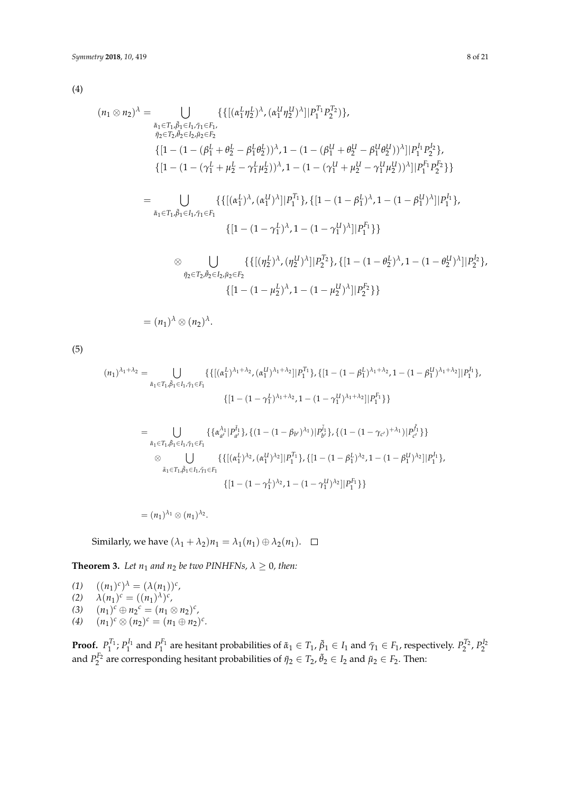(4)

$$
(n_1 \otimes n_2)^{\lambda} = \bigcup_{\substack{\tilde{\alpha}_1 \in T_1, \tilde{\beta}_1 \in I_1, \tilde{\gamma}_1 \in F_1, \\ \tilde{\eta}_2 \in T_2, \tilde{\theta}_2 \in I_2, \tilde{\mu}_2 \in F_2}} \{ \{ [(\alpha_1^L \eta_2^L)^\lambda, (\alpha_1^U \eta_2^U)^\lambda] | P_1^{T_1} P_2^{T_2} \} \}, \newline
$$
  
\n
$$
\{ [1 - (1 - (\beta_1^L + \theta_2^L - \beta_1^L \theta_2^L))^\lambda, 1 - (1 - (\beta_1^U + \theta_2^U - \beta_1^U \theta_2^U))^{\lambda}] | P_1^{I_1} P_2^{I_2} \},
$$
  
\n
$$
\{ [1 - (1 - (\gamma_1^L + \mu_2^L - \gamma_1^L \mu_2^L))^\lambda, 1 - (1 - (\gamma_1^U + \mu_2^U - \gamma_1^U \mu_2^U))^{\lambda}] | P_1^{I_1} P_2^{I_2} \} \}
$$
  
\n
$$
= \bigcup_{\tilde{\alpha}_1 \in T_1, \tilde{\beta}_1 \in I_1, \tilde{\gamma}_1 \in F_1} \{ \{ [(\alpha_1^L)^\lambda, (\alpha_1^U)^\lambda] | P_1^{T_1} \}, \{ [1 - (1 - \beta_1^L)^\lambda, 1 - (1 - \beta_1^U)^\lambda] | P_1^{I_1} \}, \newline
$$
  
\n
$$
\otimes \bigcup \{ \{ [(\eta_2^L)^\lambda, (\eta_2^U)^\lambda] | P_2^{T_2} \}, \{ [1 - (1 - \theta_2^L)^\lambda, 1 - (1 - \theta_2^U)^\lambda] | P_2^{I_2} \}, \newline
$$

$$
\otimes \bigcup_{\tilde{\eta}_2 \in T_2, \tilde{\theta}_2 \in I_2, \tilde{\mu}_2 \in F_2} \{ \{ |(\eta_2^{\nu})^{\alpha}, (\eta_2^{\omega})^{\alpha}| | P_2^{\nu_2} \}, \{ |1 - (1 - \theta_2^{\nu})^{\alpha}, 1 - (1 - \theta_2^{\omega})^{\alpha}| | P_2^{\nu_2} \}
$$

$$
\{ [1 - (1 - \mu_2^L)^{\lambda}, 1 - (1 - \mu_2^U)^{\lambda}] | P_2^{\nu_2} \} \}
$$

 $=(n_1)^{\lambda} \otimes (n_2)^{\lambda}.$ 

(5)

$$
(n_1)^{\lambda_1 + \lambda_2} = \bigcup_{\tilde{\alpha}_1 \in T_1, \tilde{\beta}_1 \in I_1, \tilde{\gamma}_1 \in F_1} \{ \{ [(\alpha_1^L)^{\lambda_1 + \lambda_2}, (\alpha_1^U)^{\lambda_1 + \lambda_2}] | P_1^{T_1} \}, \{ [1 - (1 - \beta_1^L)^{\lambda_1 + \lambda_2}, 1 - (1 - \beta_1^U)^{\lambda_1 + \lambda_2}] | P_1^{F_1} \},
$$
  
\n
$$
= \bigcup_{\tilde{\alpha}_1 \in T_1, \tilde{\beta}_1 \in I_1, \tilde{\gamma}_1 \in F_1} \{ \{\alpha_{a'}^{\lambda_1} | P_{a'}^{\tilde{r}_1}\}, \{ (1 - (1 - \beta_{b'})^{\lambda_1}) | P_{b'}^{\tilde{r}_1} \}, \{ (1 - (1 - \gamma_{c'})^{+\lambda_1}) | P_{c'}^{\tilde{r}_1} \} \}
$$
  
\n
$$
\otimes \bigcup_{\tilde{\alpha}_1 \in T_1, \tilde{\beta}_1 \in I_1, \tilde{\gamma}_1 \in F_1} \{ \{ [(\alpha_1^L)^{\lambda_2}, (\alpha_1^U)^{\lambda_2}] | P_1^{T_1} \}, \{ [1 - (1 - \beta_1^L)^{\lambda_2}, 1 - (1 - \beta_1^U)^{\lambda_2}] | P_1^{I_1} \},
$$
  
\n
$$
\{ [1 - (1 - \gamma_1^L)^{\lambda_2}, 1 - (1 - \gamma_1^U)^{\lambda_2}] | P_1^{F_1} \} \}
$$

$$
=(n_1)^{\lambda_1}\otimes (n_1)^{\lambda_2}.
$$

Similarly, we have  $(\lambda_1 + \lambda_2)n_1 = \lambda_1(n_1) \oplus \lambda_2(n_1)$ .  $\Box$ 

**Theorem 3.** *Let*  $n_1$  *and*  $n_2$  *be two PINHFNs,*  $\lambda \geq 0$ *, then:* 

(1)  $((n_1)^c)^{\lambda} = (\lambda(n_1))^c$ , (2)  $\lambda(n_1)^c = ((n_1)^{\lambda})^c$ , (3)  $(n_1)^c \oplus n_2^c = (n_1 \otimes n_2)^c$ , (4)  $(n_1)^c \otimes (n_2)^c = (n_1 \oplus n_2)^c$ .

**Proof.**  $P_1^{T_1}$ ;  $P_1^{I_1}$  and  $P_1^{F_1}$  are hesitant probabilities of  $\tilde{a}_1 \in T_1$ ,  $\tilde{\beta}_1 \in I_1$  and  $\tilde{\gamma}_1 \in F_1$ , respectively.  $P_2^{T_2}$ ,  $P_2^{I_2}$ and  $P_2^{F_2}$  are corresponding hesitant probabilities of  $\tilde{\eta}_2 \in T_2$ ,  $\tilde{\theta}_2 \in I_2$  and  $\tilde{\mu}_2 \in F_2$ . Then: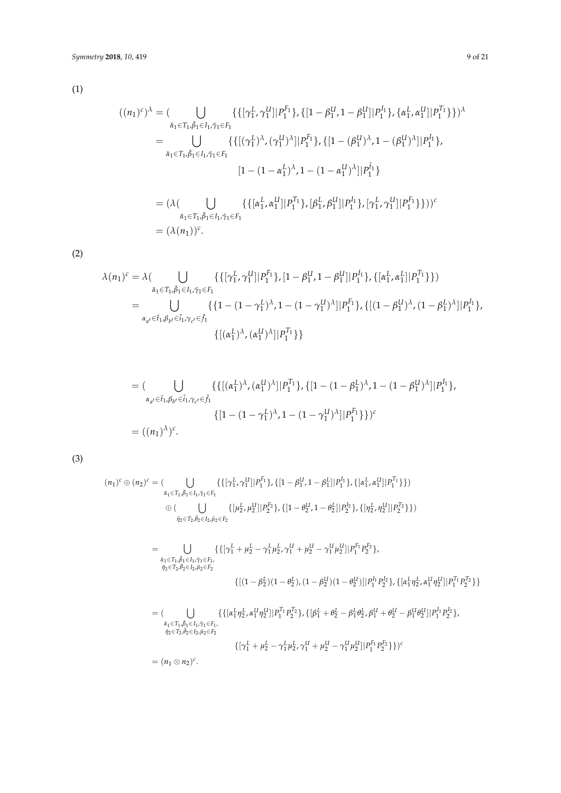(1)

$$
((n_1)^c)^{\lambda} = (\bigcup_{\tilde{\alpha}_1 \in T_1, \tilde{\beta}_1 \in I_1, \tilde{\gamma}_1 \in F_1} \{ \{ [\gamma_1^L, \gamma_1^U] | P_1^{F_1} \}, \{ [1 - \beta_1^U, 1 - \beta_1^U] | P_1^{I_1} \}, \{ \alpha_1^L, \alpha_1^U] | P_1^{T_1} \} \} )^{\lambda}
$$
  
\n
$$
= \bigcup_{\tilde{\alpha}_1 \in T_1, \tilde{\beta}_1 \in I_1, \tilde{\gamma}_1 \in F_1} \{ \{ [(\gamma_1^L)^{\lambda}, (\gamma_1^U)^{\lambda}] | P_1^{F_1} \}, \{ [1 - (\beta_1^U)^{\lambda}, 1 - (\beta_1^U)^{\lambda}] | P_1^{I_1} \}, \{ [1 - (1 - \alpha_1^L)^{\lambda}, 1 - (1 - \alpha_1^U)^{\lambda}] | P_1^{\tilde{I}_1} \}
$$
  
\n
$$
= (\lambda (\bigcup_{\tilde{\alpha}_1 \in T_1, \tilde{\beta}_1 \in I_1, \tilde{\gamma}_1 \in F_1} \{ \{ [\alpha_1^L, \alpha_1^U] | P_1^{T_1} \}, [\beta_1^L, \beta_1^U] | P_1^{I_1} \}, [\gamma_1^L, \gamma_1^U] | P_1^{F_1} \} \} ) )^c
$$
  
\n
$$
= (\lambda (n_1))^c.
$$

(2)

$$
\lambda(n_1)^c = \lambda \left( \bigcup_{\tilde{\alpha}_1 \in T_1, \tilde{\beta}_1 \in I_1, \tilde{\gamma}_1 \in F_1} \{ \{ [\gamma_1^L, \gamma_1^U] | P_1^{F_1} \}, [1 - \beta_1^U, 1 - \beta_1^U] | P_1^{I_1} \}, \{ [\alpha_1^L, \alpha_1^L] | P_1^{T_1} \} \} \right)
$$
  
= 
$$
\bigcup_{\alpha_{a'} \in \tilde{t}_1, \beta_{b'} \in \tilde{i}_1, \gamma_{c'} \in \tilde{f}_1} \{ \{ 1 - (1 - \gamma_1^L)^{\lambda}, 1 - (1 - \gamma_1^U)^{\lambda} | P_1^{F_1} \}, \{ [(1 - \beta_1^U)^{\lambda}, (1 - \beta_1^L)^{\lambda}] | P_1^{I_1} \}, \{ [( \alpha_1^L)^{\lambda}, (\alpha_1^U)^{\lambda} ] | P_1^{T_1} \} \} \}
$$

$$
= (\bigcup_{\alpha_{a'} \in \tilde{t}_1, \beta_{b'} \in \tilde{t}_1, \gamma_{c'} \in \tilde{f}_1} \{ \{ [(\alpha_1^L)^\lambda, (\alpha_1^U)^\lambda] | P_1^{T_1} \}, \{ [1 - (1 - \beta_1^L)^\lambda, 1 - (1 - \beta_1^U)^\lambda] | P_1^{I_1} \}, \\\} \{ [1 - (1 - \gamma_1^L)^\lambda, 1 - (1 - \gamma_1^U)^\lambda] | P_1^{F_1} \} \} )^c
$$
  
=  $((n_1)^\lambda)^c$ .

(3)

$$
(n_1)^c \oplus (n_2)^c = (\bigcup_{\substack{\tilde{\alpha}_1 \in T_1, \tilde{\beta}_1 \in L_1, \tilde{\gamma}_1 \in F_1}} \{ \{ [\gamma_1^L, \gamma_1^U] | P_1^{F_1} \}, \{ [1 - \beta_1^U, 1 - \beta_1^L] | P_1^{L_1} \}, \{ [\alpha_1^L, \alpha_1^U] | P_1^{T_1} \} \} )
$$
  
\n
$$
\oplus (\bigcup_{\substack{\tilde{\eta}_2 \in T_2, \tilde{\beta}_2 \in L_2, \tilde{\mu}_2 \in F_2}} \{ [\mu_2^L, \mu_2^U] | P_2^{F_2} \}, \{ [1 - \theta_2^U, 1 - \theta_2^L] | P_2^{L_2} \}, \{ [\eta_2^L, \eta_2^U] | P_2^{T_2} \} \} )
$$
  
\n
$$
= \bigcup_{\substack{\tilde{\alpha}_1 \in T_1, \tilde{\beta}_1 \in L_1, \tilde{\gamma}_1 \in F_1, \\ \tilde{\eta}_2 \in T_2, \tilde{\theta}_2 \in L_2, \tilde{\mu}_2 \in F_2}} \{ \{ [\gamma_1^L + \mu_2^L - \gamma_1^L \mu_2^L, \gamma_1^U + \mu_2^U - \gamma_1^U \mu_2^U] | P_1^{F_1} P_2^{F_2} \}, \{ [\alpha_1^L \eta_2^L, \alpha_1^U \eta_2^U] | P_1^{T_1} P_2^{T_2} \} \} \}
$$
  
\n
$$
= (\bigcup_{\substack{\tilde{\alpha}_1 \in T_1, \tilde{\beta}_1 \in L_1, \tilde{\gamma}_1 \in F_1, \\ \tilde{\eta}_2 \in T_2, \tilde{\theta}_2 \in L_2, \tilde{\mu}_2 \in F_2}} \{ \{ [\alpha_1^L \eta_2^L, \alpha_1^U \eta_2^U] | P_1^{T_1} P_2^{T_2} \}, \{ [\beta_1^L + \theta_2^L - \beta_1^L \theta_2^L, \beta_1^U + \theta_2^U - \beta_1^U \theta_2^U] | P_1^{I_1} P_2^{I_2} \}, \tilde{\alpha}_1
$$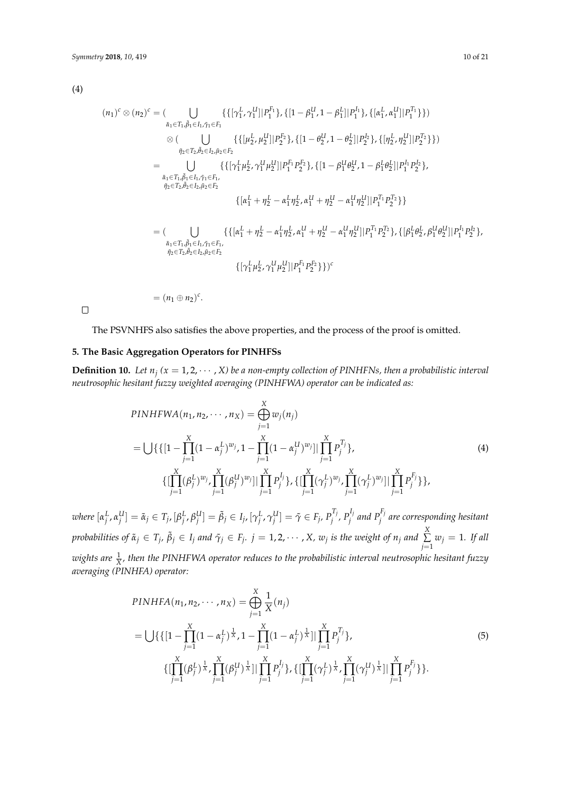(4)

$$
(n_1)^c \otimes (n_2)^c = (\bigcup_{\tilde{\alpha}_1 \in T_1, \tilde{\beta}_1 \in I_1, \tilde{\gamma}_1 \in F_1} \{ \{ [\gamma_1^L, \gamma_1^U] | P_1^{F_1} \}, \{ [1 - \beta_1^U, 1 - \beta_1^L] | P_1^{I_1} \}, \{ [\alpha_1^L, \alpha_1^U] | P_1^{T_1} \} \} )
$$
  
\n
$$
\otimes (\bigcup_{\tilde{\eta}_2 \in T_2, \tilde{\beta}_2 \in I_2, \tilde{\mu}_2 \in F_2} \{ \{ [ \mu_2^L, \mu_2^U] | P_2^{F_2} \}, \{ [1 - \theta_2^U, 1 - \theta_2^L] | P_2^{I_2} \}, \{ [\eta_2^L, \eta_2^U] | P_2^{T_2} \} \} )
$$
  
\n
$$
= \bigcup_{\tilde{\alpha}_1 \in T_1, \tilde{\beta}_1 \in I_1, \tilde{\gamma}_1 \in F_1, \tilde{\eta}_1 \in F_1, \tilde{\eta}_1 \in F_1, \tilde{\eta}_1 \in F_1, \tilde{\eta}_1 \in F_1, \tilde{\eta}_1 \in F_1, \tilde{\eta}_1 \in F_1, \tilde{\eta}_1 \in F_1, \tilde{\eta}_1 \in F_1, \tilde{\eta}_1 \in F_1, \tilde{\eta}_1 \in F_1, \tilde{\eta}_1 \in F_1, \tilde{\eta}_1 \in F_1, \tilde{\eta}_1 \in F_1, \tilde{\eta}_1 \in F_1, \tilde{\eta}_1 \in F_1, \tilde{\eta}_1 \in F_1, \tilde{\eta}_1 \in F_1, \tilde{\eta}_1 \in F_1, \tilde{\eta}_1 \in F_1, \tilde{\eta}_1 \in F_1, \tilde{\eta}_1 \in F_1, \tilde{\eta}_1 \in F_1, \tilde{\eta}_1 \in F_1, \tilde{\eta}_1 \in F_1, \tilde{\eta}_1 \in F_1, \tilde{\eta}_1 \in F_1, \tilde{\eta}_1 \in F_1, \tilde{\eta}_1 \in F_1, \tilde{\eta}_1 \in F_1, \tilde{\eta}_1 \in F_1, \tilde{\eta}_1 \in F_1,
$$

 $\Box$ 

The PSVNHFS also satisfies the above properties, and the process of the proof is omitted.

## <span id="page-9-0"></span>**5. The Basic Aggregation Operators for PINHFSs**

<span id="page-9-1"></span>**Definition 10.** Let  $n_j$  ( $x = 1, 2, \cdots, X$ ) be a non-empty collection of PINHFNs, then a probabilistic interval *neutrosophic hesitant fuzzy weighted averaging (PINHFWA) operator can be indicated as:*

$$
PINHFWA(n_1, n_2, \cdots, n_X) = \bigoplus_{j=1}^{X} w_j(n_j)
$$
  
= 
$$
\bigcup \{ \{ [1 - \prod_{j=1}^{X} (1 - \alpha_j^L)^{w_j}, 1 - \prod_{j=1}^{X} (1 - \alpha_j^U)^{w_j} ] | \prod_{j=1}^{X} P_j^{T_j} \},
$$
  

$$
\{ [\prod_{j=1}^{X} (\beta_j^L)^{w_j}, \prod_{j=1}^{X} (\beta_j^U)^{w_j} ] | \prod_{j=1}^{X} P_j^{I_j} \}, \{ [\prod_{j=1}^{X} (\gamma_j^L)^{w_j}, \prod_{j=1}^{X} (\gamma_j^L)^{w_j} ] | \prod_{j=1}^{X} P_j^{F_j} \} \},
$$

$$
(4)
$$

where  $[\alpha_j^L,\alpha_j^U]=\tilde{\alpha}_j\in T_j$ ,  $[\beta_j^L,\beta_j^U]=\tilde{\beta}_j\in I_j$ ,  $[\gamma_j^L,\gamma_j^U]=\tilde{\gamma}\in F_j$ ,  $P_j^{T_j}$ ,  $P_j^{I_j}$  and  $P_j^{F_j}$  are corresponding hesitant probabilities of  $\tilde{\alpha}_j\in T_j$ ,  $\tilde{\beta}_j\in I_j$  and  $\tilde{\gamma}_j\in F_j$ .  $j=1,2,\cdots$  , X,  $w_j$  is the weight of  $n_j$  and  $\sum\limits_{}^{{\rm{X}}}$  $\sum_{j=1}$   $w_j = 1$ *. If all*  $wights$  are  $\frac{1}{X}$ , then the PINHFWA operator reduces to the probabilistic interval neutrosophic hesitant fuzzy *averaging (PINHFA) operator:*

$$
PINHFA(n_1, n_2, \cdots, n_X) = \bigoplus_{j=1}^{X} \frac{1}{X}(n_j)
$$
  
= 
$$
\bigcup \{ \{ [1 - \prod_{j=1}^{X} (1 - \alpha_j^L)^{\frac{1}{X}}, 1 - \prod_{j=1}^{X} (1 - \alpha_j^L)^{\frac{1}{X}}] | \prod_{j=1}^{X} P_j^{T_j} \},
$$
  

$$
\{ [\prod_{j=1}^{X} (\beta_j^L)^{\frac{1}{X}}, \prod_{j=1}^{X} (\beta_j^U)^{\frac{1}{X}}] | \prod_{j=1}^{X} P_j^{I_j} \}, \{ [\prod_{j=1}^{X} (\gamma_j^L)^{\frac{1}{X}}, \prod_{j=1}^{X} (\gamma_j^U)^{\frac{1}{X}}] | \prod_{j=1}^{X} P_j^{F_j} \}.
$$

$$
(5)
$$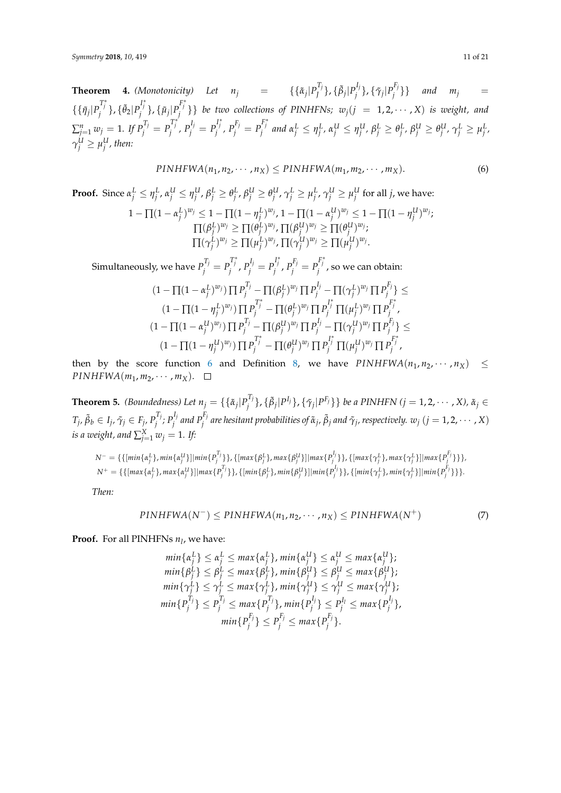<span id="page-10-0"></span>**Theorem 4.** (Monotonicity) Let  $n_j$  = {{ $\tilde{a}_j | P_j^{T_j}$ }, { $\tilde{\beta}_j | P_j^{L_j}$ }, { $\tilde{\gamma}_j | P_j^{F_j}$ }} and  $m_j$  = *J j j j*  $\{\{\tilde{\eta}_j|P_j^{T^*_j}\},\{\tilde{\theta}_2|P_j^{I^*_j}\},\{\tilde{\mu}_j|P_j^{F^*_j}\}\}\$  be two collections of PINHFNs;  $w_j(j=1,2,\cdots,X)$  is weight, and  $\sum_{j=1}^n w_j = 1$ . If  $P_j^{T_j} = P_j^{T_j^*}$ ,  $P_j^{I_j} = P_j^{I_j^*}$ ,  $P_j^{F_j} = P_j^{F_j^*}$  and  $\alpha_j^L \leq \eta_j^L$ ,  $\alpha_j^L \leq \eta_j^L$ ,  $\beta_j^L \geq \theta_j^L$ ,  $\beta_j^L \geq \theta_j^L$ ,  $\gamma_j^L \geq \mu_j^L$ ,  $\gamma^U_j \geq \mu^U_j$  , then:

$$
PINHFWA(n_1, n_2, \cdots, n_X) \leq PINHFWA(m_1, m_2, \cdots, m_X).
$$
 (6)

**Proof.** Since  $\alpha_j^L \leq \eta_j^L$ ,  $\alpha_j^U \leq \eta_j^U$ ,  $\beta_j^L \geq \theta_j^L$ ,  $\beta_j^U \geq \theta_j^U$ ,  $\gamma_j^L \geq \mu_j^L$ ,  $\gamma_j^U \geq \mu_j^U$  for all  $j$ , we have:  $1-\prod (1-\alpha_j^L)^{w_j} \leq 1-\prod (1-\eta_j^L)^{w_j}$ ,  $1-\prod (1-\alpha_j^U)^{w_j} \leq 1-\prod (1-\eta_j^U)^{w_j}$ ;  $\Pi(\beta_j^L)^{w_j} \geq \Pi(\theta_j^L)^{w_j}$ ,  $\Pi(\beta_j^U)^{w_j} \geq \Pi(\theta_j^U)^{w_j};$  $\Pi(\gamma_j^L)^{w_j} \geq \Pi(\mu_j^L)^{w_j}, \Pi(\gamma_j^U)^{w_j} \geq \Pi(\mu_j^U)^{w_j}.$ Simultaneously, we have  $P_j^{T_j}=P_j^{T_j^*}$  ,  $P_j^{I_j}=P_j^{I_j^*}$  ,  $P_j^{F_j}=P_j^{F_j^*}$  , so we can obtain:  $(1-\prod (1-\alpha_j^L)^{w_j}) \prod P_j^{T_j} - \prod (\beta_j^L)^{w_j} \prod P_j^{I_j} - \prod (\gamma_j^L)^{w_j} \prod P_j^{F_j}$  $\{j'\}\leq$  $(1-\Pi(1-\eta_j^L)^{w_j})\Pi P_j^{T^*_j} - \Pi(\theta_j^L)^{w_j}\Pi P_j^{I^*_j}\Pi(\mu_j^L)^{w_j}\Pi P_j^{F^*_j},$ 

$$
(1 - \prod (1 - \eta_j^{U})^{w_j}) \prod P_j^{T_j} - \prod (\theta_j^{U})^{v_j} \prod P_j^{T_j} - \prod (\gamma_j^{U})^{w_j} \prod P_j^{F_j},
$$
  

$$
(1 - \prod (1 - \alpha_j^{U})^{w_j}) \prod P_j^{T_j} - \prod (\beta_j^{U})^{w_j} \prod P_j^{F_j} - \prod (\gamma_j^{U})^{w_j} \prod P_j^{F_j},
$$
  

$$
(1 - \prod (1 - \eta_j^{U})^{w_j}) \prod P_j^{T_j^*} - \prod (\theta_j^{U})^{w_j} \prod P_j^{F_j^*} \prod (\mu_j^{U})^{w_j} \prod P_j^{F_j^*},
$$

then by the score function [6](#page-4-1) and Definition [8,](#page-5-2) we have  $\text{PINHFWA}(n_1, n_2, \dots, n_X) \leq$ *PINHFWA*( $m_1, m_2, \cdots, m_X$ ).  $\Box$ 

<span id="page-10-1"></span>**Theorem 5.** *(Boundedness)* Let  $n_j = \{\{\tilde{\alpha}_j | P_j^T\}$ *f*<sup>1</sup>′}, {β<sub>j</sub>|P<sup>I</sup>′}, { $\tilde{\gamma}_j$ |P<sup>F</sup>′}} *be a PINHFN (j* = 1,2, · · · , *X),*  $\tilde{\alpha}_j$  ∈  $T_j$ *,*  $\tilde{\beta}_b \in I_j$ *,*  $\tilde{\gamma}_j \in F_j$ *,*  $P_j^{T_j}$  $P_j^{I_j}$ ;  $P_j^{I_j}$  $P_j^{I_j}$  and  $P_j^{F_j}$  $j^{F_j}$  are hesitant probabilities of  $\tilde{\alpha}_j$ ,  $\tilde{\beta}_j$  and  $\tilde{\gamma}_j$ , respectively.  $w_j$   $(j=1,2,\cdots,X)$  $i$ *s a weight, and*  $\sum_{j=1}^{X} w_j = 1$ *. If:* 

$$
N^{-} = \{ \{ \{ \min\{\alpha_j^L\}, \min\{\alpha_j^U\} \} | \min\{P_j^T\} \}, \{ \{ \max\{\beta_j^L\}, \max\{\beta_j^U\} \} | \max\{P_j^I\} \}, \{ \{ \max\{\gamma_j^L\}, \max\{\gamma_j^L\} \} | \max\{P_j^T\} \}, \}
$$
\n
$$
N^{+} = \{ \{ \{ \max\{\alpha_j^L\}, \max\{\alpha_j^U\} \} | \max\{P_j^T\} \}, \{ \{ \min\{\beta_j^L\}, \min\{\beta_j^U\} \} | \min\{P_j^I\} \}, \{ \{ \min\{\gamma_j^L\}, \min\{\gamma_j^L\} | \min\{P_j^F\} \} \}.
$$

*Then:*

$$
PINHFWA(N^-) \leq PINHFWA(n_1, n_2, \cdots, n_X) \leq PINHFWA(N^+)
$$
\n(7)

**Proof.** For all PINHFNs *n<sup>l</sup>* , we have:

$$
\begin{aligned}\n\min\{\alpha_j^L\} &\leq \alpha_j^L \leq \max\{\alpha_j^L\}, \min\{\alpha_j^U\} \leq \alpha_j^U \leq \max\{\alpha_j^U\}; \\
\min\{\beta_j^L\} &\leq \beta_j^L \leq \max\{\beta_j^L\}, \min\{\beta_j^U\} \leq \beta_j^U \leq \max\{\beta_j^U\}; \\
\min\{\gamma_j^L\} &\leq \gamma_j^L \leq \max\{\gamma_j^L\}, \min\{\gamma_j^U\} \leq \gamma_j^U \leq \max\{\gamma_j^U\}; \\
\min\{P_j^{T_j}\} &\leq P_j^{T_j} \leq \max\{P_j^{T_j}\}, \min\{P_j^L\} \leq P_j^{T_j} \leq \max\{P_j^L\}, \\
\min\{P_j^{F_j}\} &\leq P_j^{F_j} \leq \max\{P_j^{F_j}\}.\n\end{aligned}
$$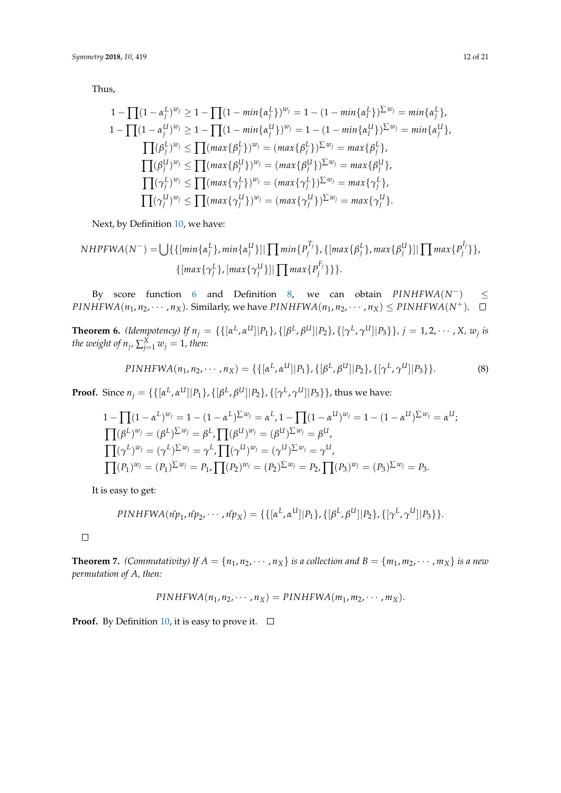Thus,

$$
1 - \prod (1 - \alpha_j^L)^{w_j} \ge 1 - \prod (1 - \min\{\alpha_j^L\})^{w_j} = 1 - (1 - \min\{\alpha_l^L\})^{\sum w_j} = \min\{\alpha_j^L\},
$$
  
\n
$$
1 - \prod (1 - \alpha_j^U)^{w_j} \ge 1 - \prod (1 - \min\{\alpha_j^U\})^{w_j} = 1 - (1 - \min\{\alpha_l^U\})^{\sum w_j} = \min\{\alpha_j^U\},
$$
  
\n
$$
\prod (\beta_j^L)^{w_j} \le \prod (\max\{\beta_j^L\})^{w_j} = (\max\{\beta_j^L\})^{\sum w_j} = \max\{\beta_j^L\},
$$
  
\n
$$
\prod (\beta_j^U)^{w_j} \le \prod (\max\{\beta_j^U\})^{w_j} = (\max\{\beta_j^U\})^{\sum w_j} = \max\{\beta_j^U\},
$$
  
\n
$$
\prod (\gamma_j^L)^{w_j} \le \prod (\max\{\gamma_j^L\})^{w_j} = (\max\{\gamma_j^L\})^{\sum w_j} = \max\{\gamma_j^L\},
$$
  
\n
$$
\prod (\gamma_j^U)^{w_j} \le \prod (\max\{\gamma_j^U\})^{w_j} = (\max\{\gamma_j^U\})^{\sum w_j} = \max\{\gamma_j^U\}.
$$

Next, by Definition [10,](#page-9-1) we have:

NHPFWA(N<sup>-</sup>) = 
$$
\bigcup \{ \{ [min\{\alpha_j^L\}, min\{\alpha_j^U\}] | \prod min\{P_j^{T_j}\}, \{ [max\{\beta_j^L\}, max\{\beta_j^U\}] | \prod max\{P_j^{I_j}\}\}, \{ [max\{\gamma_j^L\}, [max\{\gamma_j^U\}] | \prod max\{P_j^{F_j}\}\} \} \big]
$$
.

By score function [6](#page-4-1) and Definition [8,](#page-5-2) we can obtain *PINHFWA*(*N*−) ≤ *PINHFWA*( $n_1, n_2, \cdots, n_X$ ). Similarly, we have *PINHFWA*( $n_1, n_2, \cdots, n_X$ ) ≤ *PINHFWA*( $N^+$ ). □

<span id="page-11-0"></span>**Theorem 6.** (Idempotency) If  $n_j = \{\{[\alpha^L, \alpha^U] | P_1\} , \{[\beta^L, \beta^U] | P_2\} , \{[\gamma^L, \gamma^U] | P_3\} \}$ ,  $j = 1, 2, \cdots$  , X,  $w_j$  is *the weight of*  $n_j$ *,*  $\sum_{j=1}^X w_j = 1$ *, then:* 

$$
PINHFWA(n_1, n_2, \cdots, n_X) = \{ \{ [\alpha^L, \alpha^U] | P_1 \}, \{ [\beta^L, \beta^U] | P_2 \}, \{ [\gamma^L, \gamma^U] | P_3 \} \}.
$$
 (8)

**Proof.** Since  $n_j = \{ \{ [\alpha^L, \alpha^U] | P_1 \}, \{ [\beta^L, \beta^U] | P_2 \}, \{ [\gamma^L, \gamma^U] | P_3 \} \}$ , thus we have:

$$
1 - \prod (1 - \alpha^{L})^{w_{j}} = 1 - (1 - \alpha^{L})^{\sum w_{j}} = \alpha^{L}, 1 - \prod (1 - \alpha^{U})^{w_{j}} = 1 - (1 - \alpha^{U})^{\sum w_{j}} = \alpha^{U};
$$
  
\n
$$
\prod (\beta^{L})^{w_{j}} = (\beta^{L})^{\sum w_{j}} = \beta^{L}, \prod (\beta^{U})^{w_{j}} = (\beta^{U})^{\sum w_{j}} = \beta^{U},
$$
  
\n
$$
\prod (\gamma^{L})^{w_{j}} = (\gamma^{L})^{\sum w_{j}} = \gamma^{L}, \prod (\gamma^{U})^{w_{j}} = (\gamma^{U})^{\sum w_{j}} = \gamma^{U},
$$
  
\n
$$
\prod (P_{1})^{w_{j}} = (P_{1})^{\sum w_{j}} = P_{1}, \prod (P_{2})^{w_{j}} = (P_{2})^{\sum w_{j}} = P_{2}, \prod (P_{3})^{w_{j}} = (P_{3})^{\sum w_{j}} = P_{3}.
$$

It is easy to get:

$$
PINHFWA(\tilde{np}_1, \tilde{np}_2, \cdots, \tilde{np}_X) = \{ \{ [\alpha^L, \alpha^U] | P_1 \}, \{ [\beta^L, \beta^U] | P_2 \}, \{ [\gamma^L, \gamma^U] | P_3 \} \}.
$$

 $\Box$ 

**Theorem 7.** *(Commutativity) If*  $A = \{n_1, n_2, \dots, n_X\}$  *is a collection and*  $B = \{m_1, m_2, \dots, m_X\}$  *is a new permutation of A, then:*

$$
PINHFWA(n_1, n_2, \cdots, n_X) = PINHFWA(m_1, m_2, \cdots, m_X).
$$

**Proof.** By Definition [10,](#page-9-1) it is easy to prove it.  $\Box$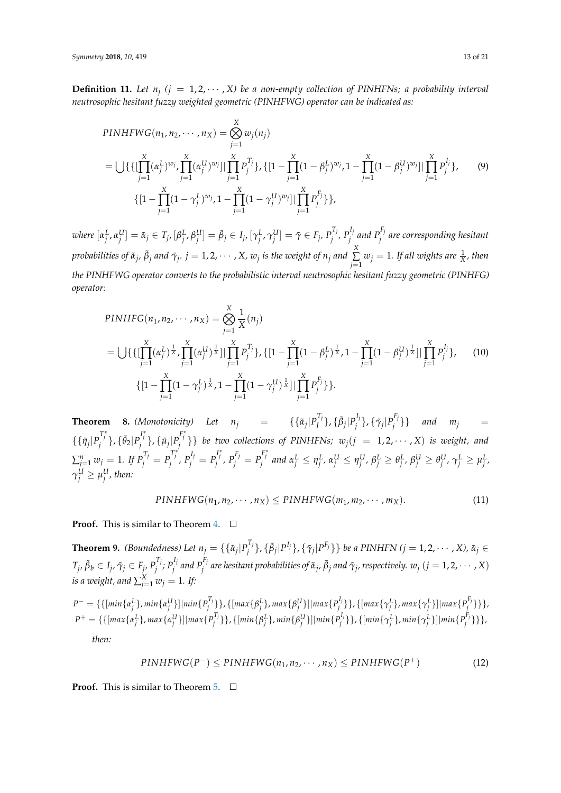**Definition 11.** Let  $n_j$   $(j = 1, 2, \cdots, X)$  be a non-empty collection of PINHFNs; a probability interval *neutrosophic hesitant fuzzy weighted geometric (PINHFWG) operator can be indicated as:*

$$
PINHFWG(n_1, n_2, \cdots, n_X) = \bigotimes_{j=1}^{X} w_j(n_j)
$$
  
= 
$$
\bigcup \{ \{ \prod_{j=1}^{X} (\alpha_j^L)^{w_j}, \prod_{j=1}^{X} (\alpha_j^U)^{w_j} \} | \prod_{j=1}^{X} P_j^{T_j} \}, \{ [1 - \prod_{j=1}^{X} (1 - \beta_j^L)^{w_j}, 1 - \prod_{j=1}^{X} (1 - \beta_j^U)^{w_j} ] | \prod_{j=1}^{X} P_j^{T_j} \}, \qquad (9)
$$
  

$$
\{ [1 - \prod_{j=1}^{X} (1 - \gamma_j^L)^{w_j}, 1 - \prod_{j=1}^{X} (1 - \gamma_j^U)^{w_j} ] | \prod_{j=1}^{X} P_j^{F_j} \} \},
$$

where  $[\alpha_j^L,\alpha_j^U]=\tilde{\alpha}_j\in T_j$ ,  $[\beta_j^L,\beta_j^U]=\tilde{\beta}_j\in I_j$ ,  $[\gamma_j^L,\gamma_j^U]=\tilde{\gamma}\in F_j$ ,  $P_j^{T_j}$ ,  $P_j^{I_j}$  and  $P_j^{F_j}$  are corresponding hesitant *probabilities of*  $\tilde{\alpha}_j$ *,*  $\tilde{\beta}_j$  *and*  $\tilde{\gamma}_j$ *.*  $j=1,2,\cdots$  *, X,*  $w_j$  *is the weight of*  $n_j$  *and*  $\sum\limits_{}^{\text{X}}$  $\sum\limits_{j=1}^{\infty} w_j = 1$ *. If all wights are*  $\frac{1}{X}$ *, then the PINHFWG operator converts to the probabilistic interval neutrosophic hesitant fuzzy geometric (PINHFG) operator:*

$$
PINHFG(n_1, n_2, \cdots, n_X) = \bigotimes_{j=1}^{X} \frac{1}{X}(n_j)
$$
  
= 
$$
\bigcup \{ \{ \left[ \prod_{j=1}^{X} (\alpha_j^L)^{\frac{1}{X}}, \prod_{j=1}^{X} (\alpha_j^U)^{\frac{1}{X}} \right] | \prod_{j=1}^{X} P_j^{T_j} \}, \{ \left[ 1 - \prod_{j=1}^{X} (1 - \beta_j^L)^{\frac{1}{X}}, 1 - \prod_{j=1}^{X} (1 - \beta_j^U)^{\frac{1}{X}} \right] | \prod_{j=1}^{X} P_j^{I_j} \}, \qquad (10)
$$
  

$$
\{ \left[ 1 - \prod_{j=1}^{X} (1 - \gamma_j^L)^{\frac{1}{X}}, 1 - \prod_{j=1}^{X} (1 - \gamma_j^U)^{\frac{1}{X}} \right] | \prod_{j=1}^{X} P_j^{F_j} \} \}.
$$

**Theorem 8.** *(Monotonicity)* Let  $n_j$  = {{ $\tilde{\alpha}_j | P_j^T$  $\{\tilde{\beta}_j | P_j^{I_j}\}$ ,  $\{\tilde{\beta}_j | P_j^{I_j}\}$ *j* }, {*γ*˜*<sup>j</sup>* |*P Fj*  $\{m_j^{(1)}\}$  *and*  $m_j$  =  $\{\{\tilde{\eta}_j\vert P_j^{T^*_j}\},\{\tilde{\theta}_2\vert P_j^{I^*_j}\},\{\tilde{\mu}_j\vert P_j^{F^*_j}\}\}\}$  be two collections of PINHFNs;  $w_j(j~=~1,2,\cdots,X)$  is weight, and  $\sum_{j=1}^n w_j = 1$ . If  $P_j^{T_j} = P_j^{T_j^*}$ ,  $P_j^{I_j} = P_j^{I_j^*}$ ,  $P_j^{F_j} = P_j^{F_j^*}$  and  $\alpha_j^L \leq \eta_j^L$ ,  $\alpha_j^L \leq \eta_j^L$ ,  $\beta_j^L \geq \theta_j^L$ ,  $\beta_j^L \geq \theta_j^L$ ,  $\gamma_j^L \geq \mu_j^L$ ,  $\gamma^U_j \geq \mu^U_j$  , then:

$$
PINHFWG(n_1, n_2, \cdots, n_X) \leq PINHFWG(m_1, m_2, \cdots, m_X). \tag{11}
$$

**Proof.** This is similar to Theorem [4.](#page-10-0) □

**Theorem 9.** *(Boundedness)* Let  $n_j = \{\{\tilde{\alpha}_j | P_j^{T_j}\}$ *j*<sup>1</sup>′}, {β<sub>j</sub>|P<sup>I</sup>′}, { $\tilde{\gamma}_j$ |P<sup>F</sup>′}} *be a PINHFN (j = 1,2,* · · · , *X),*  $\tilde{\alpha}_j$  ∈  $T_j$ *,*  $\tilde{\beta}_b \in I_j$ *,*  $\tilde{\gamma}_j \in F_j$ *,*  $P_j^{T_j}$  $P_j^{T_j}$ ;  $P_j^{I_j}$  $P_j^{I_j}$  and  $P_j^{F_j}$  $j^{F_j}$  are hesitant probabilities of  $\tilde{\alpha}_j$ ,  $\tilde{\beta}_j$  and  $\tilde{\gamma}_j$ , respectively.  $w_j$   $(j=1,2,\cdots,X)$  $i$ *s a weight, and*  $\sum_{j=1}^{X} w_j = 1$ *. If:* 

 $P^- = \{\{[min\{\alpha_j^L\}, min\{\alpha_j^U\}]\}$ *min* $\{P_j^T\}$ *f*<sup>I]</sup>,}}, {[max{β<sup>L</sup>]}, max{β<sup>U</sup>}]|max{P<sup>I</sup><sub>j</sub> *j* }}, {[*max*{*γ L j* }, *max*{*γ L j* }]|*max*{*P Fj j* }}}*,*  $P^+ = \{\{[max\{\alpha_j^L\}, max\{\alpha_j^U\}]\} | max\{P_j^T\}$ *f*<sup>I}</sup> } }, {[min{β<sup>L</sup>}}, min{β<sup>U</sup>}]|min{P<sup>I}</sup> *j* }}, {[*min*{*γ L j* }, *min*{*γ L j* }]|*min*{*P Fj j* }}}*, then:*

$$
PINHFWG(P^-) \leq PINHFWG(n_1, n_2, \cdots, n_X) \leq PINHFWG(P^+)
$$
\n(12)

**Proof.** This is similar to Theorem  $\overline{5}$ .  $\Box$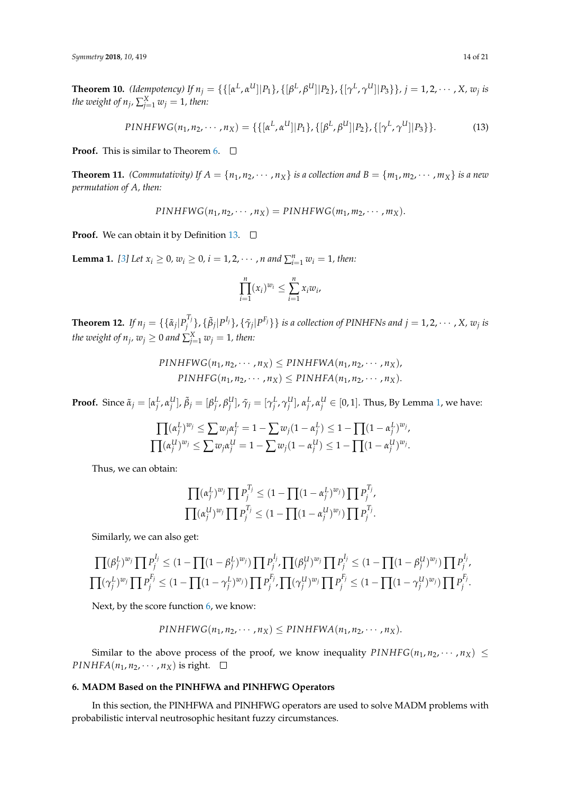**Theorem 10.** (Idempotency) If  $n_j = \{\{[\alpha^L, \alpha^U] | P_1\}$ ,  $\{[\beta^L, \beta^U] | P_2\}$ ,  $\{[\gamma^L, \gamma^U] | P_3\}\}$ ,  $j = 1, 2, \cdots, X$ ,  $w_j$  is *the weight of*  $n_j$ *,*  $\sum_{j=1}^X w_j = 1$ *, then:* 

$$
PINHFWG(n_1, n_2, \cdots, n_X) = \{ \{ [\alpha^L, \alpha^U] | P_1 \}, \{ [\beta^L, \beta^U] | P_2 \}, \{ [\gamma^L, \gamma^U] | P_3 \} \}.
$$
 (13)

**Proof.** This is similar to Theorem [6.](#page-11-0)  $\Box$ 

**Theorem 11.** *(Commutativity) If*  $A = \{n_1, n_2, \dots, n_X\}$  *is a collection and*  $B = \{m_1, m_2, \dots, m_X\}$  *is a new permutation of A, then:*

$$
PINHFWG(n_1, n_2, \cdots, n_X) = PINHFWG(m_1, m_2, \cdots, m_X).
$$

**Proof.** We can obtain it by Definition [13.](#page-16-1) □

<span id="page-13-1"></span>**Lemma 1.** [\[3\]](#page-18-2) Let  $x_i \ge 0$ ,  $w_i \ge 0$ ,  $i = 1, 2, \cdots$ , *n* and  $\sum_{i=1}^{n} w_i = 1$ , then:

$$
\prod_{i=1}^n (x_i)^{w_i} \le \sum_{i=1}^n x_i w_i,
$$

**Theorem 12.** *If*  $n_j = \{\{\tilde{\alpha}_j | P_j^{T_j}\}$  $\{\tilde{\beta}_j^{I_j}\},\{\tilde{\beta}_j|P^{I_j}\},\{\tilde{\gamma}_j|P^{F_j}\}\}$  is a collection of PINHFNs and  $j=1,2,\cdots$  , X,  $w_j$  is *the weight of*  $n_j$ *,*  $w_j \geq 0$  *and*  $\sum_{j=1}^X w_j = 1$ *, then:* 

> $PINHFWG(n_1, n_2, \cdots, n_X) \leq PINHFWA(n_1, n_2, \cdots, n_X)$  $PINHFG(n_1, n_2, \cdots, n_X) \leq PINHFA(n_1, n_2, \cdots, n_X).$

**Proof.** Since  $\tilde{\alpha}_j=[\alpha_j^L,\alpha_j^U],\tilde{\beta}_j=[\beta_j^L,\beta_j^U],\tilde{\gamma}_j=[\gamma_j^L,\gamma_j^U],\alpha_j^L,\alpha_j^U\in[0,1].$  Thus, By Lemma [1,](#page-13-1) we have:

$$
\frac{\prod (\alpha_j^L)^{w_j}}{\prod (\alpha_j^U)^{w_j}} \leq \sum w_j \alpha_j^L = 1 - \sum w_j (1 - \alpha_j^L) \leq 1 - \prod (1 - \alpha_j^L)^{w_j},
$$
  

$$
\prod (\alpha_j^U)^{w_j} \leq \sum w_j \alpha_j^U = 1 - \sum w_j (1 - \alpha_j^U) \leq 1 - \prod (1 - \alpha_j^U)^{w_j}.
$$

Thus, we can obtain:

$$
\prod (\alpha_j^L)^{w_j} \prod P_j^{T_j} \le (1 - \prod (1 - \alpha_j^L)^{w_j}) \prod P_j^{T_j},
$$
  

$$
\prod (\alpha_j^U)^{w_j} \prod P_j^{T_j} \le (1 - \prod (1 - \alpha_j^U)^{w_j}) \prod P_j^{T_j}.
$$

Similarly, we can also get:

$$
\prod (\beta_j^L)^{w_j} \prod P_j^{I_j} \leq (1 - \prod (1 - \beta_j^L)^{w_j}) \prod P_j^{I_j}, \prod (\beta_j^U)^{w_j} \prod P_j^{I_j} \leq (1 - \prod (1 - \beta_j^U)^{w_j}) \prod P_j^{I_j},
$$
  

$$
\prod (\gamma_j^L)^{w_j} \prod P_j^{F_j} \leq (1 - \prod (1 - \gamma_j^L)^{w_j}) \prod P_j^{F_j}, \prod (\gamma_j^U)^{w_j} \prod P_j^{F_j} \leq (1 - \prod (1 - \gamma_j^U)^{w_j}) \prod P_j^{F_j}.
$$

Next, by the score function [6,](#page-4-1) we know:

$$
PINHFWG(n_1, n_2, \cdots, n_X) \leq PINHFWA(n_1, n_2, \cdots, n_X).
$$

Similar to the above process of the proof, we know inequality  $\text{PINHFG}(n_1, n_2, \cdots, n_X) \leq$ *PINHFA*( $n_1$ ,  $n_2$ ,  $\cdots$ ,  $n_X$ ) is right.  $\Box$ 

## <span id="page-13-0"></span>**6. MADM Based on the PINHFWA and PINHFWG Operators**

In this section, the PINHFWA and PINHFWG operators are used to solve MADM problems with probabilistic interval neutrosophic hesitant fuzzy circumstances.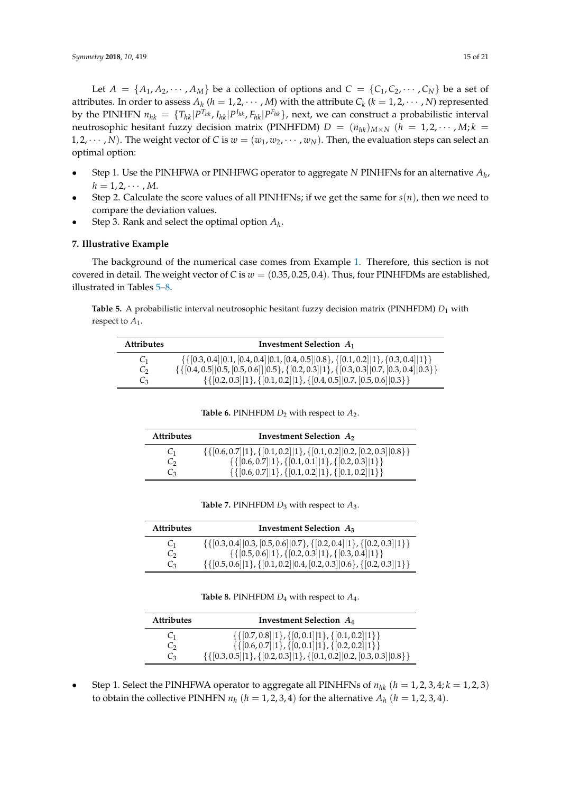Let  $A = \{A_1, A_2, \dots, A_M\}$  be a collection of options and  $C = \{C_1, C_2, \dots, C_N\}$  be a set of attributes. In order to assess  $A_h$  ( $h = 1, 2, \cdots, M$ ) with the attribute  $C_k$  ( $k = 1, 2, \cdots, N$ ) represented by the PINHFN  $n_{hk} = \{T_{hk}|P^{T_{hk}}$ ,  $I_{hk}|P^{I_{hk}}$ ,  $F_{hk}|P^{F_{hk}}\}$ , next, we can construct a probabilistic interval neutrosophic hesitant fuzzy decision matrix (PINHFDM)  $D = (n_{hk})_{M \times N}$  ( $h = 1, 2, \cdots, M; k =$ 1, 2,  $\dots$ , *N*). The weight vector of *C* is  $w = (w_1, w_2, \dots, w_N)$ . Then, the evaluation steps can select an optimal option:

- Step 1. Use the PINHFWA or PINHFWG operator to aggregate *N* PINHFNs for an alternative *A<sup>h</sup>* ,  $h = 1, 2, \cdots, M$ .
- Step 2. Calculate the score values of all PINHFNs; if we get the same for  $s(n)$ , then we need to compare the deviation values.
- Step 3. Rank and select the optimal option *A<sup>h</sup>* .

## <span id="page-14-0"></span>**7. Illustrative Example**

The background of the numerical case comes from Example [1.](#page-3-2) Therefore, this section is not covered in detail. The weight vector of *C* is  $w = (0.35, 0.25, 0.4)$ . Thus, four PINHFDMs are established, illustrated in Tables [5](#page-14-1)[–8.](#page-14-2)

<span id="page-14-1"></span>**Table 5.** A probabilistic interval neutrosophic hesitant fuzzy decision matrix (PINHFDM) *D*<sup>1</sup> with respect to *A*<sup>1</sup> .

| <b>Attributes</b> | Investment Selection $A_1$                                                                                       |
|-------------------|------------------------------------------------------------------------------------------------------------------|
| C <sub>1</sub>    | $\{ \{ [0.3, 0.4]   0.1, [0.4, 0.4]   0.1, [0.4, 0.5]   0.8 \}, \{ [0.1, 0.2]   1 \}, \{ 0.3, 0.4]   1 \} \}$    |
| C,                | $\{ \{ [0.4, 0.5]   0.5, [0.5, 0.6]   0.5 \}, \{ [0.2, 0.3]   1 \}, \{ [0.3, 0.3]   0.7, [0.3, 0.4]   0.3 \} \}$ |
| Cз                | $\{ \{ [0.2, 0.3]   1 \}, \{ [0.1, 0.2]   1 \}, \{ [0.4, 0.5]   0.7, [0.5, 0.6]   0.3 \} \}$                     |

**Table 6.** PINHFDM  $D_2$  with respect to  $A_2$ .

| <b>Attributes</b> | Investment Selection $A_2$                                                                   |  |  |
|-------------------|----------------------------------------------------------------------------------------------|--|--|
| C <sub>1</sub>    | $\{ \{ [0.6, 0.7]   1 \}, \{ [0.1, 0.2]   1 \}, \{ [0.1, 0.2]   0.2, [0.2, 0.3]   0.8 \} \}$ |  |  |
| $\mathbb{C}^2$    | $\{ \{ [0.6, 0.7]   1 \}, \{ [0.1, 0.1]   1 \}, \{ [0.2, 0.3]   1 \} \}$                     |  |  |
| $\mathcal{C}_3$   | $\{ \{ [0.6, 0.7]   1 \}, \{ [0.1, 0.2]   1 \}, \{ [0.1, 0.2]   1 \} \}$                     |  |  |

**Table 7.** PINHFDM *D*<sup>3</sup> with respect to *A*3.

| <b>Attributes</b> | Investment Selection $A_3$                                                                   |  |  |
|-------------------|----------------------------------------------------------------------------------------------|--|--|
| C <sub>1</sub>    | $\{ \{ [0.3, 0.4]   0.3, [0.5, 0.6]   0.7 \}, \{ [0.2, 0.4]   1 \}, \{ [0.2, 0.3]   1 \} \}$ |  |  |
| $\mathcal{C}_{2}$ | $\{ \{ [0.5, 0.6]   1 \}, \{ [0.2, 0.3]   1 \}, \{ [0.3, 0.4]   1 \} \}$                     |  |  |
| $C_3$             | $\{ \{ [0.5, 0.6]   1 \}, \{ [0.1, 0.2]   0.4, [0.2, 0.3]   0.6 \}, \{ [0.2, 0.3]   1 \} \}$ |  |  |

**Table 8.** PINHFDM  $D_4$  with respect to  $A_4$ .

<span id="page-14-2"></span>

| <b>Attributes</b> | Investment Selection $A_4$                                                                   |
|-------------------|----------------------------------------------------------------------------------------------|
| C <sub>1</sub>    | $\{ \{ [0.7, 0.8]   1 \}, \{ [0, 0.1]   1 \}, \{ [0.1, 0.2]   1 \} \}$                       |
| $\mathcal{C}_{2}$ | $\{ \{ [0.6, 0.7]   1 \}, \{ [0, 0.1]   1 \}, \{ [0.2, 0.2]   1 \} \}$                       |
| $C_3$             | $\{ \{ [0.3, 0.5]   1 \}, \{ [0.2, 0.3]   1 \}, \{ [0.1, 0.2]   0.2, [0.3, 0.3]   0.8 \} \}$ |

Step 1. Select the PINHFWA operator to aggregate all PINHFNs of  $n_{hk}$  ( $h = 1, 2, 3, 4; k = 1, 2, 3$ ) to obtain the collective PINHFN  $n_h$   $(h = 1, 2, 3, 4)$  for the alternative  $A_h$   $(h = 1, 2, 3, 4)$ .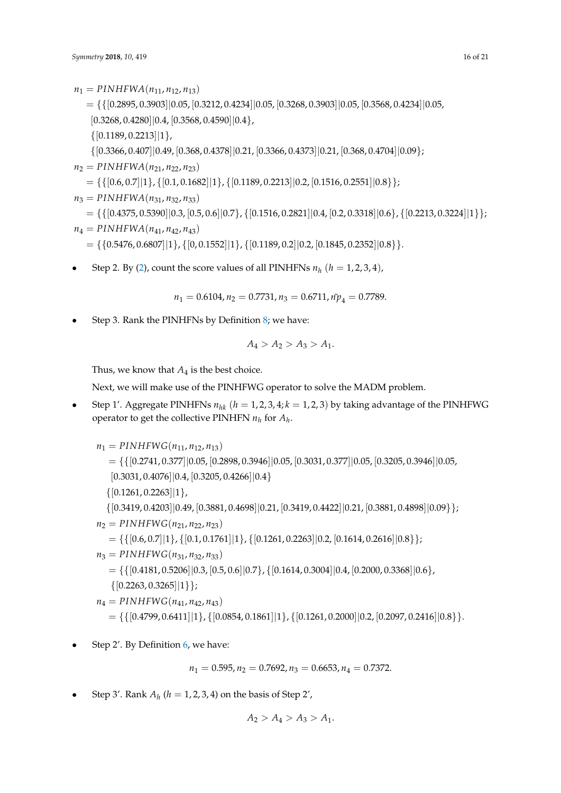$n_1 = PINHFWA(n_{11}, n_{12}, n_{13})$ 

 $=\{ \{ [0.2895, 0.3903] | 0.05, [0.3212, 0.4234] | 0.05, [0.3268, 0.3903] | 0.05, [0.3568, 0.4234] | 0.05,$ 

 $[0.3268, 0.4280]$  $[0.4, [0.3568, 0.4590]$  $[0.4]$ ,

 $\{[0.1189, 0.2213]|1\},\$ 

{[0.3366, 0.407]|0.49, [0.368, 0.4378]|0.21, [0.3366, 0.4373]|0.21, [0.368, 0.4704]|0.09};

$$
n_2 = PINHFWA(n_{21}, n_{22}, n_{23})
$$

 $= \{ \{ [0.6, 0.7] | 1 \}, \{ [0.1, 0.1682] | 1 \}, \{ [0.1189, 0.2213] | 0.2, [0.1516, 0.2551] | 0.8 \} \};$ 

$$
n_3 = PINHFWA(n_{31}, n_{32}, n_{33})
$$

 $= \{ \{ [0.4375, 0.5390] | 0.3, [0.5, 0.6] | 0.7 \}, \{ [0.1516, 0.2821] | 0.4, [0.2, 0.3318] | 0.6 \}, \{ [0.2213, 0.3224] | 1 \} \};$ 

$$
n_4 = PINHFWA(n_{41}, n_{42}, n_{43})
$$

 $= \{ \{0.5476, 0.6807 \mid 1 \}, \{ [0, 0.1552 \mid 1 \}, \{ [0.1189, 0.2 \mid 0.2, [0.1845, 0.2352 \mid 0.8 \} \}.$ 

• Step 2. By [\(2\)](#page-4-2), count the score values of all PINHFNs  $n_h$  ( $h = 1, 2, 3, 4$ ),

 $n_1 = 0.6104$ ,  $n_2 = 0.7731$ ,  $n_3 = 0.6711$ ,  $n\tilde{p}_4 = 0.7789$ .

• Step 3. Rank the PINHFNs by Definition [8;](#page-5-2) we have:

$$
A_4 > A_2 > A_3 > A_1.
$$

Thus, we know that  $A_4$  is the best choice.

Next, we will make use of the PINHFWG operator to solve the MADM problem.

Step 1'. Aggregate PINHFNs  $n_{hk}$  ( $h = 1, 2, 3, 4; k = 1, 2, 3$ ) by taking advantage of the PINHFWG operator to get the collective PINHFN  $n_h$  for  $A_h$ .

$$
n_1 = PINHFWG(n_{11}, n_{12}, n_{13})
$$
  
\n
$$
= \{ \{ [0.2741, 0.377] | 0.05, [0.2898, 0.3946] | 0.05, [0.3031, 0.377] | 0.05, [0.3205, 0.3946] | 0.05, [0.3031, 0.4076] | 0.4, [0.3205, 0.4266] | 0.4 \}
$$
  
\n
$$
\{ [0.1261, 0.2263] | 1 \},
$$
  
\n
$$
\{ [0.3419, 0.4203] | 0.49, [0.3881, 0.4698] | 0.21, [0.3419, 0.4422] | 0.21, [0.3881, 0.4898] | 0.09 \} \};
$$
  
\n
$$
n_2 = PINHFWG(n_{21}, n_{22}, n_{23})
$$
  
\n
$$
= \{ \{ [0.6, 0.7] | 1 \}, \{ [0.1, 0.1761] | 1 \}, \{ [0.1261, 0.2263] | 0.2, [0.1614, 0.2616] | 0.8 \} \};
$$
  
\n
$$
n_3 = PINHFWG(n_{31}, n_{32}, n_{33})
$$
  
\n
$$
= \{ \{ [0.4181, 0.5206] | 0.3, [0.5, 0.6] | 0.7 \}, \{ [0.1614, 0.3004] | 0.4, [0.2000, 0.3368] | 0.6 \},
$$
  
\n
$$
\{ [0.2263, 0.3265] | 1 \} \};
$$
  
\n
$$
n_4 = PINHFWG(n_{41}, n_{42}, n_{43})
$$

 $= \{ \{ [0.4799, 0.6411] | 1 \}, \{ [0.0854, 0.1861] | 1 \}, \{ [0.1261, 0.2000] | 0.2, [0.2097, 0.2416] | 0.8 \} \}.$ 

• Step 2'. By Definition [6,](#page-4-1) we have:

$$
n_1 = 0.595, n_2 = 0.7692, n_3 = 0.6653, n_4 = 0.7372.
$$

• Step 3'. Rank  $A_h$  ( $h = 1, 2, 3, 4$ ) on the basis of Step 2',

$$
A_2 > A_4 > A_3 > A_1.
$$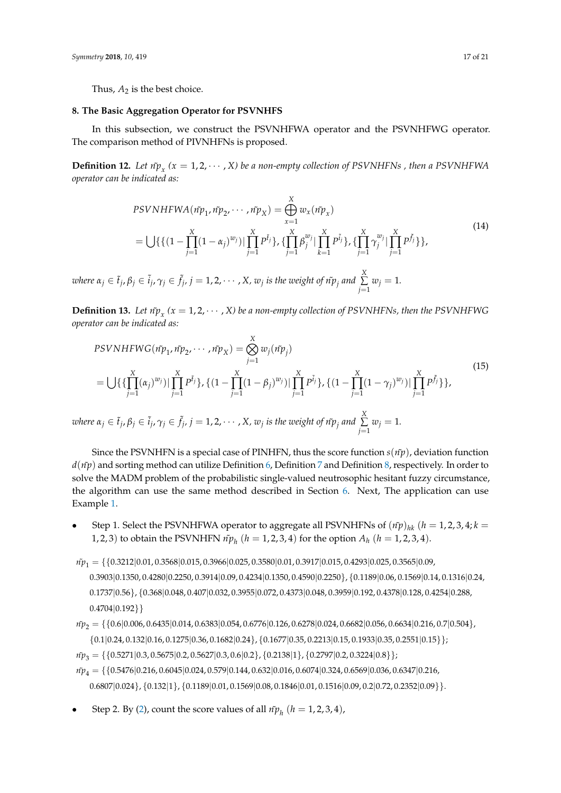#### <span id="page-16-0"></span>**8. The Basic Aggregation Operator for PSVNHFS**

In this subsection, we construct the PSVNHFWA operator and the PSVNHFWG operator. The comparison method of PIVNHFNs is proposed.

**Definition 12.** Let  $n\tilde{p}_x$  ( $x = 1, 2, \cdots, X$ ) be a non-empty collection of PSVNHFNs , then a PSVNHFWA *operator can be indicated as:*

$$
PSVNHFWA(\tilde{np}_1, \tilde{np}_2, \cdots, \tilde{np}_X) = \bigoplus_{x=1}^{X} w_x(\tilde{np}_x)
$$
  
= 
$$
\bigcup \{ \{ (1 - \prod_{j=1}^{X} (1 - \alpha_j)^{w_j}) | \prod_{j=1}^{X} P^{\tilde{t}_j} \}, \{ \prod_{j=1}^{X} \beta_j^{w_j} | \prod_{k=1}^{X} P^{\tilde{t}_j} \}, \{ \prod_{j=1}^{X} \gamma_j^{w_j} | \prod_{j=1}^{X} P^{\tilde{f}_j} \} \},
$$
\n(14)

where  $\alpha_j\in \tilde{t}_j$ ,  $\beta_j\in \tilde{t}_j$ ,  $\gamma_j\in \tilde{f}_j$ ,  $j=1,2,\cdots$  ,  $X$ ,  $w_j$  is the weight of  $\tilde{n p}_j$  and  $\sum\limits_{i=1}^N\tilde{p}_j$  $\sum_{j=1}^{\infty} w_j = 1.$ 

<span id="page-16-1"></span>**Definition 13.** Let  $n\tilde{p}_x$  ( $x = 1, 2, \cdots, X$ ) be a non-empty collection of PSVNHFNs, then the PSVNHFWG *operator can be indicated as:*

$$
PSVNHFWG(\tilde{np}_1, \tilde{np}_2, \cdots, \tilde{np}_X) = \bigotimes_{j=1}^{X} w_j(\tilde{np}_j)
$$
  
= 
$$
\bigcup \{ \{\prod_{j=1}^{X} (\alpha_j)^{w_j} \mid \prod_{j=1}^{X} P^{\tilde{t}_j} \}, \{ (1 - \prod_{j=1}^{X} (1 - \beta_j)^{w_j}) \mid \prod_{j=1}^{X} P^{\tilde{t}_j} \}, \{ (1 - \prod_{j=1}^{X} (1 - \gamma_j)^{w_j}) \mid \prod_{j=1}^{X} P^{\tilde{f}_j} \} \},
$$
  
where  $\alpha_j \in \tilde{t}_j, \beta_j \in \tilde{i}_j, \gamma_j \in \tilde{f}_j, j = 1, 2, \cdots, X, w_j \text{ is the weight of } \tilde{np}_j \text{ and } \sum_{j=1}^{X} w_j = 1.$  (15)

Since the PSVNHFN is a special case of PINHFN, thus the score function  $s(n\tilde{p})$ , deviation function  $d(\tilde{n}p)$  and sorting method can utilize Definition [6,](#page-4-1) Definition [7](#page-4-3) and Definition [8,](#page-5-2) respectively. In order to solve the MADM problem of the probabilistic single-valued neutrosophic hesitant fuzzy circumstance, the algorithm can use the same method described in Section [6.](#page-13-0) Next, The application can use Example [1.](#page-3-2)

- Step 1. Select the PSVNHFWA operator to aggregate all PSVNHFNs of  $(i\tilde{r}p)_{hk}$  ( $h = 1, 2, 3, 4; k =$ 1, 2, 3) to obtain the PSVNHFN  $n\tilde{p}_h$  ( $h = 1, 2, 3, 4$ ) for the option  $A_h$  ( $h = 1, 2, 3, 4$ ).
- $n\tilde{p}_1 = \{ \{0.3212|0.01, 0.3568|0.015, 0.3966|0.025, 0.3580|0.01, 0.3917|0.015, 0.4293|0.025, 0.3565|0.09,$ 0.3903|0.1350, 0.4280|0.2250, 0.3914|0.09, 0.4234|0.1350, 0.4590|0.2250}, {0.1189|0.06, 0.1569|0.14, 0.1316|0.24, 0.1737|0.56}, {0.368|0.048, 0.407|0.032, 0.3955|0.072, 0.4373|0.048, 0.3959|0.192, 0.4378|0.128, 0.4254|0.288,  $0.4704|0.192\rangle$
- $n\tilde{p}_2 = \{\{0.6|0.006, 0.6435|0.014, 0.6383|0.054, 0.6776|0.126, 0.6278|0.024, 0.6682|0.056, 0.6634|0.216, 0.7|0.504\},$ {0.1|0.24, 0.132|0.16, 0.1275|0.36, 0.1682|0.24}, {0.1677|0.35, 0.2213|0.15, 0.1933|0.35, 0.2551|0.15}};
- $n\tilde{p}_3 = \{\{0.5271|0.3, 0.5675|0.2, 0.5627|0.3, 0.6|0.2\}, \{0.2138|1\}, \{0.2797|0.2, 0.3224|0.8\}\}\$
- $n\tilde{p}_4 = \{ \{0.5476|0.216, 0.6045|0.024, 0.579|0.144, 0.632|0.016, 0.6074|0.324, 0.6569|0.036, 0.6347|0.216, 0.6074|0.324, 0.6569|0.036, 0.6347|0.036, 0.6347|0.036, 0.6347|0.036, 0.6347|0.036, 0.6347|0.036, 0.6347|0.036,$  $0.6807|0.024\rangle$ ,  $\{0.132|1\rangle$ ,  $\{0.1189|0.01, 0.1569|0.08, 0.1846|0.01, 0.1516|0.09, 0.2|0.72, 0.2352|0.09\rangle\}$ .
- Step 2. By [\(2\)](#page-4-2), count the score values of all  $n\tilde{p}_h$  ( $h = 1, 2, 3, 4$ ),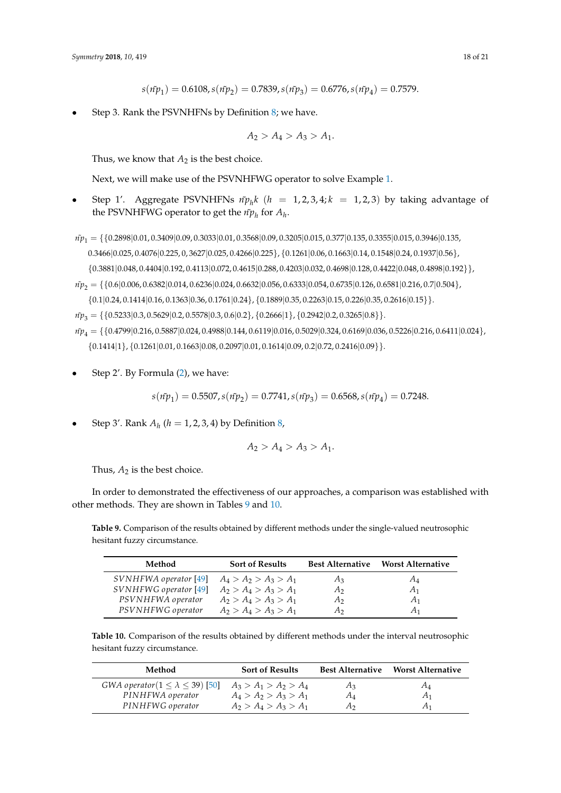$$
s(\tilde{n}p_1) = 0.6108, s(\tilde{n}p_2) = 0.7839, s(\tilde{n}p_3) = 0.6776, s(\tilde{n}p_4) = 0.7579.
$$

• Step 3. Rank the PSVNHFNs by Definition [8;](#page-5-2) we have.

$$
A_2 > A_4 > A_3 > A_1.
$$

Thus, we know that  $A_2$  is the best choice.

Next, we will make use of the PSVNHFWG operator to solve Example [1.](#page-3-2)

- Step 1'. Aggregate PSVNHFNs  $n\tilde{p}_h k$  ( $h = 1, 2, 3, 4; k = 1, 2, 3$ ) by taking advantage of the PSVNHFWG operator to get the  $\tilde{np}_h$  for  $A_h$ .
- *n* $p_1 = \{ \{0.2898|0.01, 0.3409|0.09, 0.3033|0.01, 0.3568|0.09, 0.3205|0.015, 0.377|0.135, 0.3355|0.015, 0.3946|0.135, 0.395, 0.396, 0.396, 0.396, 0.396, 0.396, 0.396, 0.396, 0.396, 0.396, 0.396, 0.396, 0.396, 0.396, 0.396$ 0.3466|0.025, 0.4076|0.225, 0, 3627|0.025, 0.4266|0.225}, {0.1261|0.06, 0.1663|0.14, 0.1548|0.24, 0.1937|0.56}, {0.3881|0.048, 0.4404|0.192, 0.4113|0.072, 0.4615|0.288, 0.4203|0.032, 0.4698|0.128, 0.4422|0.048, 0.4898|0.192}},
- $n\tilde{p}_2 = \{\{0.6|0.006, 0.6382|0.014, 0.6236|0.024, 0.6632|0.056, 0.6333|0.054, 0.6735|0.126, 0.6581|0.216, 0.7|0.504\},$  $\{0.1|0.24, 0.1414|0.16, 0.1363|0.36, 0.1761|0.24\}, \{0.1889|0.35, 0.2263|0.15, 0.226|0.35, 0.2616|0.15\}\}.$

 $n\tilde{p}_3 = \{\{0.5233|0.3, 0.5629|0.2, 0.5578|0.3, 0.6|0.2\}, \{0.2666|1\}, \{0.2942|0.2, 0.3265|0.8\}\}.$ 

- *n* $p_4 = \{ \{0.4799 | 0.216, 0.5887 | 0.024, 0.4988 | 0.144, 0.6119 | 0.016, 0.5029 | 0.324, 0.6169 | 0.036, 0.5226 | 0.216, 0.6411 | 0.024 \}, \}$  $\{0.1414|1\}$ ,  $\{0.1261|0.01, 0.1663|0.08, 0.2097|0.01, 0.1614|0.09, 0.2|0.72, 0.2416|0.09\}$ .
- Step 2'. By Formula [\(2\)](#page-4-2), we have:

$$
s(\tilde{n}p_1) = 0.5507, s(\tilde{n}p_2) = 0.7741, s(\tilde{n}p_3) = 0.6568, s(\tilde{n}p_4) = 0.7248.
$$

• Step 3'. Rank  $A_h$  ( $h = 1, 2, 3, 4$ ) by Definition [8,](#page-5-2)

$$
A_2 > A_4 > A_3 > A_1.
$$

Thus,  $A_2$  is the best choice.

In order to demonstrated the effectiveness of our approaches, a comparison was established with other methods. They are shown in Tables [9](#page-17-0) and [10.](#page-17-1)

<span id="page-17-0"></span>**Table 9.** Comparison of the results obtained by different methods under the single-valued neutrosophic hesitant fuzzy circumstance.

| Method                | <b>Sort of Results</b>  | <b>Best Alternative</b> | <b>Worst Alternative</b> |
|-----------------------|-------------------------|-------------------------|--------------------------|
| SVNHFWA operator [49] | $A_4 > A_2 > A_3 > A_1$ | $A_3$                   | A4                       |
| SVNHFWG operator [49] | $A_2 > A_4 > A_3 > A_1$ | А2                      | A <sub>1</sub>           |
| PSVNHFWA operator     | $A_2 > A_4 > A_3 > A_1$ | А2                      | A <sub>1</sub>           |
| PSVNHFWG operator     | $A_2 > A_4 > A_3 > A_1$ | Aэ                      | A1                       |

<span id="page-17-1"></span>**Table 10.** Comparison of the results obtained by different methods under the interval neutrosophic hesitant fuzzy circumstance.

| Method                                     | <b>Sort of Results</b>  |                | <b>Best Alternative Worst Alternative</b> |
|--------------------------------------------|-------------------------|----------------|-------------------------------------------|
| GWA operator $(1 \le \lambda \le 39)$ [50] | $A_3 > A_1 > A_2 > A_4$ | $A_3$          | $A_4$                                     |
| PINHFWA operator                           | $A_4 > A_2 > A_3 > A_1$ | $A_4$          | $A_1$                                     |
| PINHFWG operator                           | $A_2 > A_4 > A_3 > A_1$ | A <sub>2</sub> | A <sub>1</sub>                            |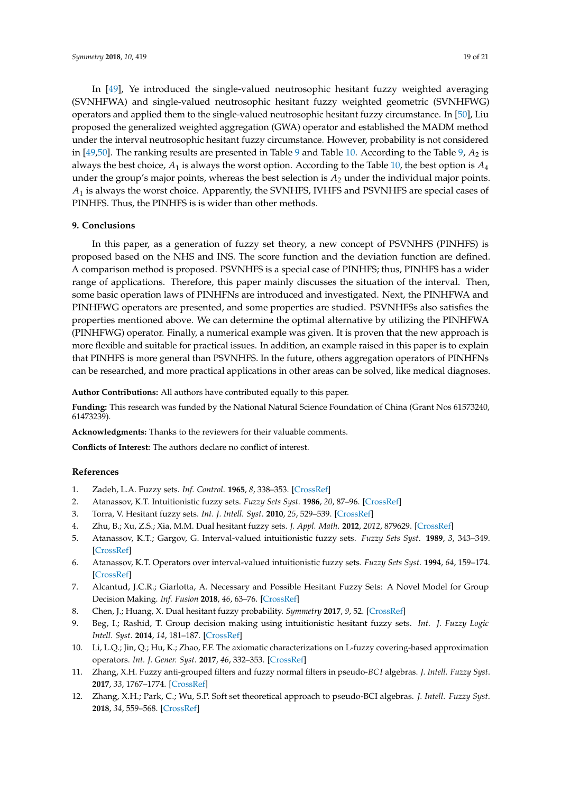In [\[49\]](#page-20-6), Ye introduced the single-valued neutrosophic hesitant fuzzy weighted averaging (SVNHFWA) and single-valued neutrosophic hesitant fuzzy weighted geometric (SVNHFWG) operators and applied them to the single-valued neutrosophic hesitant fuzzy circumstance. In [\[50\]](#page-20-7), Liu proposed the generalized weighted aggregation (GWA) operator and established the MADM method under the interval neutrosophic hesitant fuzzy circumstance. However, probability is not considered in [\[49](#page-20-6)[,50\]](#page-20-7). The ranking results are presented in Table [9](#page-17-0) and Table [10.](#page-17-1) According to the Table [9,](#page-17-0)  $A_2$  is always the best choice,  $A_1$  is always the worst option. According to the Table [10,](#page-17-1) the best option is  $A_4$ under the group's major points, whereas the best selection is *A*<sup>2</sup> under the individual major points. *A*<sup>1</sup> is always the worst choice. Apparently, the SVNHFS, IVHFS and PSVNHFS are special cases of PINHFS. Thus, the PINHFS is is wider than other methods.

#### **9. Conclusions**

In this paper, as a generation of fuzzy set theory, a new concept of PSVNHFS (PINHFS) is proposed based on the NHS and INS. The score function and the deviation function are defined. A comparison method is proposed. PSVNHFS is a special case of PINHFS; thus, PINHFS has a wider range of applications. Therefore, this paper mainly discusses the situation of the interval. Then, some basic operation laws of PINHFNs are introduced and investigated. Next, the PINHFWA and PINHFWG operators are presented, and some properties are studied. PSVNHFSs also satisfies the properties mentioned above. We can determine the optimal alternative by utilizing the PINHFWA (PINHFWG) operator. Finally, a numerical example was given. It is proven that the new approach is more flexible and suitable for practical issues. In addition, an example raised in this paper is to explain that PINHFS is more general than PSVNHFS. In the future, others aggregation operators of PINHFNs can be researched, and more practical applications in other areas can be solved, like medical diagnoses.

**Author Contributions:** All authors have contributed equally to this paper.

**Funding:** This research was funded by the National Natural Science Foundation of China (Grant Nos 61573240, 61473239).

**Acknowledgments:** Thanks to the reviewers for their valuable comments.

**Conflicts of Interest:** The authors declare no conflict of interest.

#### **References**

- <span id="page-18-0"></span>1. Zadeh, L.A. Fuzzy sets. *Inf. Control*. **1965**, *8*, 338–353. [\[CrossRef\]](http://dx.doi.org/10.1016/S0019-9958(65)90241-X)
- <span id="page-18-1"></span>2. Atanassov, K.T. Intuitionistic fuzzy sets. *Fuzzy Sets Syst*. **1986**, *20*, 87–96. [\[CrossRef\]](http://dx.doi.org/10.1016/S0165-0114(86)80034-3)
- <span id="page-18-2"></span>3. Torra, V. Hesitant fuzzy sets. *Int. J. Intell. Syst*. **2010**, *25*, 529–539. [\[CrossRef\]](http://dx.doi.org/10.1002/int.20418)
- <span id="page-18-3"></span>4. Zhu, B.; Xu, Z.S.; Xia, M.M. Dual hesitant fuzzy sets. *J. Appl. Math*. **2012**, *2012*, 879629. [\[CrossRef\]](http://dx.doi.org/10.1155/2012/879629)
- <span id="page-18-4"></span>5. Atanassov, K.T.; Gargov, G. Interval-valued intuitionistic fuzzy sets. *Fuzzy Sets Syst*. **1989**, *3*, 343–349. [\[CrossRef\]](http://dx.doi.org/10.1016/0165-0114(89)90205-4)
- <span id="page-18-5"></span>6. Atanassov, K.T. Operators over interval-valued intuitionistic fuzzy sets. *Fuzzy Sets Syst*. **1994**, *64*, 159–174. [\[CrossRef\]](http://dx.doi.org/10.1016/0165-0114(94)90331-X)
- <span id="page-18-6"></span>7. Alcantud, J.C.R.; Giarlotta, A. Necessary and Possible Hesitant Fuzzy Sets: A Novel Model for Group Decision Making. *Inf. Fusion* **2018**, *46*, 63–76. [\[CrossRef\]](http://dx.doi.org/10.1016/j.inffus.2018.05.005)
- <span id="page-18-7"></span>8. Chen, J.; Huang, X. Dual hesitant fuzzy probability. *Symmetry* **2017**, *9*, 52. [\[CrossRef\]](http://dx.doi.org/10.3390/sym9040052)
- <span id="page-18-8"></span>9. Beg, I.; Rashid, T. Group decision making using intuitionistic hesitant fuzzy sets. *Int. J. Fuzzy Logic Intell. Syst*. **2014**, *14*, 181–187. [\[CrossRef\]](http://dx.doi.org/10.5391/IJFIS.2014.14.3.181)
- <span id="page-18-9"></span>10. Li, L.Q.; Jin, Q.; Hu, K.; Zhao, F.F. The axiomatic characterizations on L-fuzzy covering-based approximation operators. *Int. J. Gener. Syst*. **2017**, *46*, 332–353. [\[CrossRef\]](http://dx.doi.org/10.1080/03081079.2017.1308360)
- 11. Zhang, X.H. Fuzzy anti-grouped filters and fuzzy normal filters in pseudo-*BC I* algebras. *J. Intell. Fuzzy Syst*. **2017**, *33*, 1767–1774. [\[CrossRef\]](http://dx.doi.org/10.3233/JIFS-17006)
- 12. Zhang, X.H.; Park, C.; Wu, S.P. Soft set theoretical approach to pseudo-BCI algebras. *J. Intell. Fuzzy Syst*. **2018**, *34*, 559–568. [\[CrossRef\]](http://dx.doi.org/10.3233/JIFS-17777)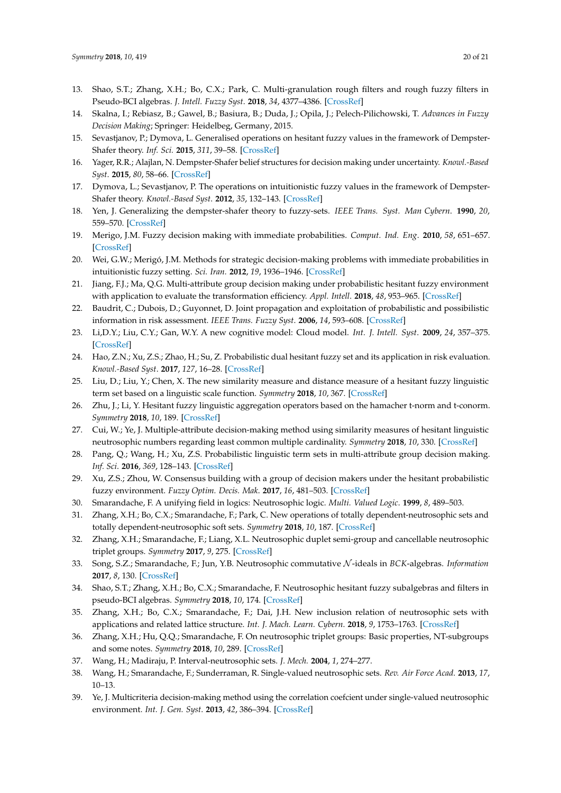- <span id="page-19-0"></span>13. Shao, S.T.; Zhang, X.H.; Bo, C.X.; Park, C. Multi-granulation rough filters and rough fuzzy filters in Pseudo-BCI algebras. *J. Intell. Fuzzy Syst*. **2018**, *34*, 4377–4386. [\[CrossRef\]](http://dx.doi.org/10.3233/JIFS-18144)
- <span id="page-19-1"></span>14. Skalna, I.; Rebiasz, B.; Gawel, B.; Basiura, B.; Duda, J.; Opila, J.; Pelech-Pilichowski, T. *Advances in Fuzzy Decision Making*; Springer: Heidelbeg, Germany, 2015.
- <span id="page-19-2"></span>15. Sevastjanov, P.; Dymova, L. Generalised operations on hesitant fuzzy values in the framework of Dempster-Shafer theory. *Inf. Sci.* **2015**, *311*, 39–58. [\[CrossRef\]](http://dx.doi.org/10.1016/j.ins.2015.03.041)
- 16. Yager, R.R.; Alajlan, N. Dempster-Shafer belief structures for decision making under uncertainty. *Knowl.-Based Syst*. **2015**, *80*, 58–66. [\[CrossRef\]](http://dx.doi.org/10.1016/j.knosys.2014.12.031)
- 17. Dymova, L.; Sevastjanov, P. The operations on intuitionistic fuzzy values in the framework of Dempster-Shafer theory. *Knowl.-Based Syst*. **2012**, *35*, 132–143. [\[CrossRef\]](http://dx.doi.org/10.1016/j.knosys.2012.04.026)
- <span id="page-19-3"></span>18. Yen, J. Generalizing the dempster-shafer theory to fuzzy-sets. *IEEE Trans. Syst. Man Cybern*. **1990**, *20*, 559–570. [\[CrossRef\]](http://dx.doi.org/10.1109/21.57269)
- <span id="page-19-4"></span>19. Merigo, J.M. Fuzzy decision making with immediate probabilities. *Comput. Ind. Eng*. **2010**, *58*, 651–657. [\[CrossRef\]](http://dx.doi.org/10.1016/j.cie.2010.01.007)
- 20. Wei, G.W.; Merigó, J.M. Methods for strategic decision-making problems with immediate probabilities in intuitionistic fuzzy setting. *Sci. Iran.* **2012**, *19*, 1936–1946. [\[CrossRef\]](http://dx.doi.org/10.1016/j.scient.2012.07.017)
- <span id="page-19-5"></span>21. Jiang, F.J.; Ma, Q.G. Multi-attribute group decision making under probabilistic hesitant fuzzy environment with application to evaluate the transformation efficiency. *Appl. Intell*. **2018**, *48*, 953–965. [\[CrossRef\]](http://dx.doi.org/10.1007/s10489-017-1041-x)
- <span id="page-19-6"></span>22. Baudrit, C.; Dubois, D.; Guyonnet, D. Joint propagation and exploitation of probabilistic and possibilistic information in risk assessment. *IEEE Trans. Fuzzy Syst*. **2006**, *14*, 593–608. [\[CrossRef\]](http://dx.doi.org/10.1109/TFUZZ.2006.876720)
- <span id="page-19-7"></span>23. Li,D.Y.; Liu, C.Y.; Gan, W.Y. A new cognitive model: Cloud model. *Int. J. Intell. Syst*. **2009**, *24*, 357–375. [\[CrossRef\]](http://dx.doi.org/10.1002/int.20340)
- <span id="page-19-8"></span>24. Hao, Z.N.; Xu, Z.S.; Zhao, H.; Su, Z. Probabilistic dual hesitant fuzzy set and its application in risk evaluation. *Knowl.-Based Syst*. **2017**, *127*, 16–28. [\[CrossRef\]](http://dx.doi.org/10.1016/j.knosys.2017.02.033)
- <span id="page-19-9"></span>25. Liu, D.; Liu, Y.; Chen, X. The new similarity measure and distance measure of a hesitant fuzzy linguistic term set based on a linguistic scale function. *Symmetry* **2018**, *10*, 367. [\[CrossRef\]](http://dx.doi.org/10.3390/sym10090367)
- 26. Zhu, J.; Li, Y. Hesitant fuzzy linguistic aggregation operators based on the hamacher t-norm and t-conorm. *Symmetry* **2018**, *10*, 189. [\[CrossRef\]](http://dx.doi.org/10.3390/sym10060189)
- <span id="page-19-10"></span>27. Cui, W.; Ye, J. Multiple-attribute decision-making method using similarity measures of hesitant linguistic neutrosophic numbers regarding least common multiple cardinality. *Symmetry* **2018**, *10*, 330. [\[CrossRef\]](http://dx.doi.org/10.3390/sym10080330)
- <span id="page-19-11"></span>28. Pang, Q.; Wang, H.; Xu, Z.S. Probabilistic linguistic term sets in multi-attribute group decision making. *Inf. Sci*. **2016**, *369*, 128–143. [\[CrossRef\]](http://dx.doi.org/10.1016/j.ins.2016.06.021)
- <span id="page-19-12"></span>29. Xu, Z.S.; Zhou, W. Consensus building with a group of decision makers under the hesitant probabilistic fuzzy environment. *Fuzzy Optim. Decis. Mak*. **2017**, *16*, 481–503. [\[CrossRef\]](http://dx.doi.org/10.1007/s10700-016-9257-5)
- <span id="page-19-13"></span>30. Smarandache, F. A unifying field in logics: Neutrosophic logic. *Multi. Valued Logic*. **1999**, *8*, 489–503.
- <span id="page-19-14"></span>31. Zhang, X.H.; Bo, C.X.; Smarandache, F.; Park, C. New operations of totally dependent-neutrosophic sets and totally dependent-neutrosophic soft sets. *Symmetry* **2018**, *10*, 187. [\[CrossRef\]](http://dx.doi.org/10.3390/sym10060187)
- 32. Zhang, X.H.; Smarandache, F.; Liang, X.L. Neutrosophic duplet semi-group and cancellable neutrosophic triplet groups. *Symmetry* **2017**, *9*, 275. [\[CrossRef\]](http://dx.doi.org/10.3390/sym9110275)
- 33. Song, S.Z.; Smarandache, F.; Jun, Y.B. Neutrosophic commutative N -ideals in *BCK*-algebras. *Information* **2017**, *8*, 130. [\[CrossRef\]](http://dx.doi.org/10.3390/info8040130)
- 34. Shao, S.T.; Zhang, X.H.; Bo, C.X.; Smarandache, F. Neutrosophic hesitant fuzzy subalgebras and filters in pseudo-BCI algebras. *Symmetry* **2018**, *10*, 174. [\[CrossRef\]](http://dx.doi.org/10.3390/sym10050174)
- 35. Zhang, X.H.; Bo, C.X.; Smarandache, F.; Dai, J.H. New inclusion relation of neutrosophic sets with applications and related lattice structure. *Int. J. Mach. Learn. Cybern*. **2018**, *9*, 1753–1763. [\[CrossRef\]](http://dx.doi.org/10.1007/s13042-018-0817-6)
- <span id="page-19-15"></span>36. Zhang, X.H.; Hu, Q.Q.; Smarandache, F. On neutrosophic triplet groups: Basic properties, NT-subgroups and some notes. *Symmetry* **2018**, *10*, 289. [\[CrossRef\]](http://dx.doi.org/10.3390/sym10070289)
- <span id="page-19-16"></span>37. Wang, H.; Madiraju, P. Interval-neutrosophic sets. *J. Mech.* **2004**, *1*, 274–277.
- <span id="page-19-17"></span>38. Wang, H.; Smarandache, F.; Sunderraman, R. Single-valued neutrosophic sets. *Rev. Air Force Acad*. **2013**, *17*, 10–13.
- <span id="page-19-18"></span>39. Ye, J. Multicriteria decision-making method using the correlation coefcient under single-valued neutrosophic environment. *Int. J. Gen. Syst*. **2013**, *42*, 386–394. [\[CrossRef\]](http://dx.doi.org/10.1080/03081079.2012.761609)